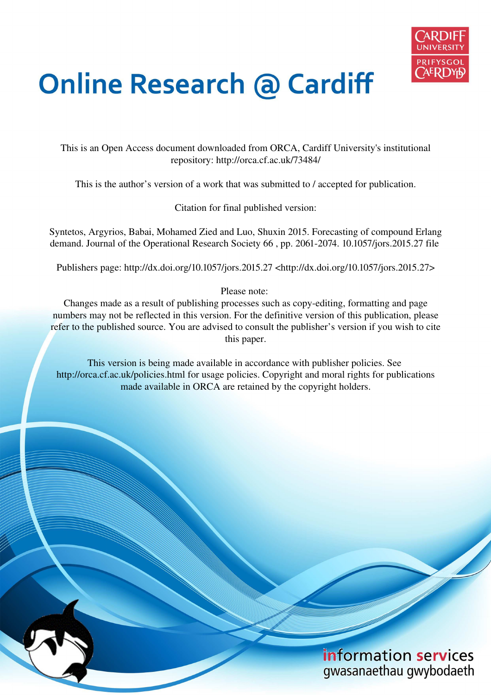

# **Online Research @ Cardiff**

This is an Open Access document downloaded from ORCA, Cardiff University's institutional repository: http://orca.cf.ac.uk/73484/

This is the author's version of a work that was submitted to / accepted for publication.

Citation for final published version:

Syntetos, Argyrios, Babai, Mohamed Zied and Luo, Shuxin 2015. Forecasting of compound Erlang demand. Journal of the Operational Research Society 66 , pp. 2061-2074. 10.1057/jors.2015.27 file

Publishers page: http://dx.doi.org/10.1057/jors.2015.27 <http://dx.doi.org/10.1057/jors.2015.27>

Please note:

Changes made as a result of publishing processes such as copy-editing, formatting and page numbers may not be reflected in this version. For the definitive version of this publication, please refer to the published source. You are advised to consult the publisher's version if you wish to cite this paper.

This version is being made available in accordance with publisher policies. See http://orca.cf.ac.uk/policies.html for usage policies. Copyright and moral rights for publications made available in ORCA are retained by the copyright holders.

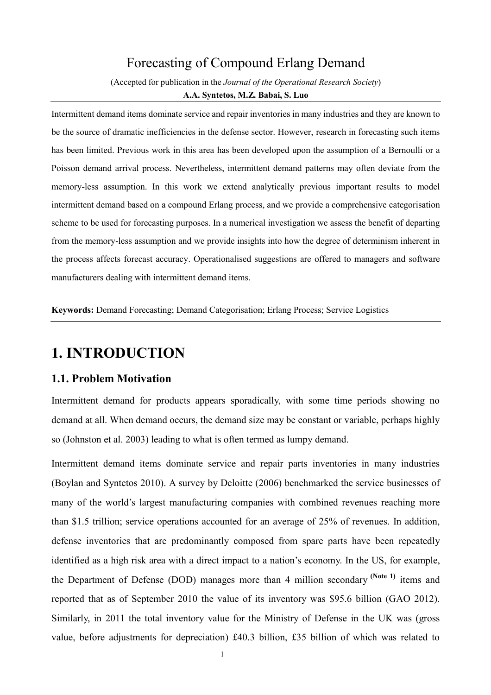## Forecasting of Compound Erlang Demand

(Accepted for publication in the *Journal of the Operational Research Society*)

#### **A.A. Syntetos, M.Z. Babai, S. Luo**

Intermittent demand items dominate service and repair inventories in many industries and they are known to be the source of dramatic inefficiencies in the defense sector. However, research in forecasting such items has been limited. Previous work in this area has been developed upon the assumption of a Bernoulli or a Poisson demand arrival process. Nevertheless, intermittent demand patterns may often deviate from the memory-less assumption. In this work we extend analytically previous important results to model intermittent demand based on a compound Erlang process, and we provide a comprehensive categorisation scheme to be used for forecasting purposes. In a numerical investigation we assess the benefit of departing from the memory-less assumption and we provide insights into how the degree of determinism inherent in the process affects forecast accuracy. Operationalised suggestions are offered to managers and software manufacturers dealing with intermittent demand items.

**Keywords:** Demand Forecasting; Demand Categorisation; Erlang Process; Service Logistics

# **1. INTRODUCTION**

## **1.1. Problem Motivation**

Intermittent demand for products appears sporadically, with some time periods showing no demand at all. When demand occurs, the demand size may be constant or variable, perhaps highly so (Johnston et al. 2003) leading to what is often termed as lumpy demand.

Intermittent demand items dominate service and repair parts inventories in many industries (Boylan and Syntetos 2010). A survey by Deloitte (2006) benchmarked the service businesses of many of the world's largest manufacturing companies with combined revenues reaching more than \$1.5 trillion; service operations accounted for an average of 25% of revenues. In addition, defense inventories that are predominantly composed from spare parts have been repeatedly identified as a high risk area with a direct impact to a nation's economy. In the US, for example, the Department of Defense (DOD) manages more than 4 million secondary **(Note 1)** items and reported that as of September 2010 the value of its inventory was \$95.6 billion (GAO 2012). Similarly, in 2011 the total inventory value for the Ministry of Defense in the UK was (gross value, before adjustments for depreciation) £40.3 billion, £35 billion of which was related to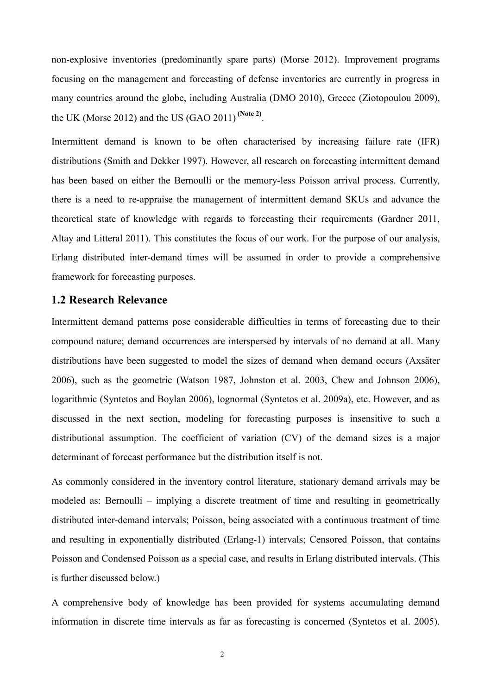non-explosive inventories (predominantly spare parts) (Morse 2012). Improvement programs focusing on the management and forecasting of defense inventories are currently in progress in many countries around the globe, including Australia (DMO 2010), Greece (Ziotopoulou 2009), the UK (Morse 2012) and the US (GAO 2011)<sup>(Note 2)</sup>.

Intermittent demand is known to be often characterised by increasing failure rate (IFR) distributions (Smith and Dekker 1997). However, all research on forecasting intermittent demand has been based on either the Bernoulli or the memory-less Poisson arrival process. Currently, there is a need to re-appraise the management of intermittent demand SKUs and advance the theoretical state of knowledge with regards to forecasting their requirements (Gardner 2011, Altay and Litteral 2011). This constitutes the focus of our work. For the purpose of our analysis, Erlang distributed inter-demand times will be assumed in order to provide a comprehensive framework for forecasting purposes.

#### **1.2 Research Relevance**

Intermittent demand patterns pose considerable difficulties in terms of forecasting due to their compound nature; demand occurrences are interspersed by intervals of no demand at all. Many distributions have been suggested to model the sizes of demand when demand occurs (Axsäter 2006), such as the geometric (Watson 1987, Johnston et al. 2003, Chew and Johnson 2006), logarithmic (Syntetos and Boylan 2006), lognormal (Syntetos et al. 2009a), etc. However, and as discussed in the next section, modeling for forecasting purposes is insensitive to such a distributional assumption. The coefficient of variation (CV) of the demand sizes is a major determinant of forecast performance but the distribution itself is not.

As commonly considered in the inventory control literature, stationary demand arrivals may be modeled as: Bernoulli – implying a discrete treatment of time and resulting in geometrically distributed inter-demand intervals; Poisson, being associated with a continuous treatment of time and resulting in exponentially distributed (Erlang-1) intervals; Censored Poisson, that contains Poisson and Condensed Poisson as a special case, and results in Erlang distributed intervals. (This is further discussed below.)

A comprehensive body of knowledge has been provided for systems accumulating demand information in discrete time intervals as far as forecasting is concerned (Syntetos et al. 2005).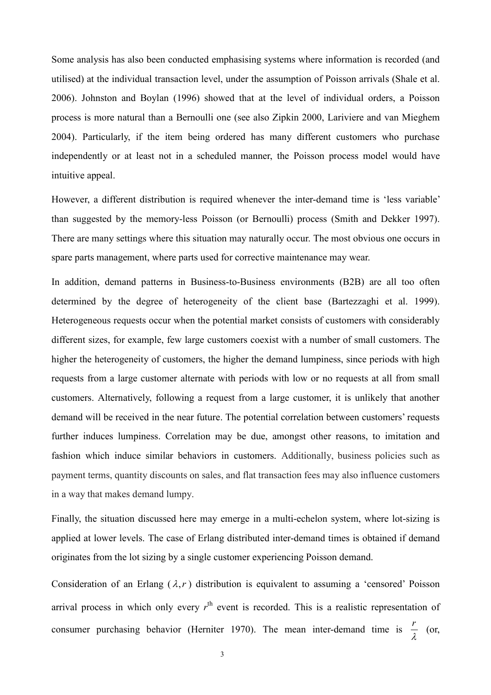Some analysis has also been conducted emphasising systems where information is recorded (and utilised) at the individual transaction level, under the assumption of Poisson arrivals (Shale et al. 2006). Johnston and Boylan (1996) showed that at the level of individual orders, a Poisson process is more natural than a Bernoulli one (see also Zipkin 2000, Lariviere and van Mieghem 2004). Particularly, if the item being ordered has many different customers who purchase independently or at least not in a scheduled manner, the Poisson process model would have intuitive appeal.

However, a different distribution is required whenever the inter-demand time is 'less variable' than suggested by the memory-less Poisson (or Bernoulli) process (Smith and Dekker 1997). There are many settings where this situation may naturally occur. The most obvious one occurs in spare parts management, where parts used for corrective maintenance may wear.

In addition, demand patterns in Business-to-Business environments (B2B) are all too often determined by the degree of heterogeneity of the client base (Bartezzaghi et al. 1999). Heterogeneous requests occur when the potential market consists of customers with considerably different sizes, for example, few large customers coexist with a number of small customers. The higher the heterogeneity of customers, the higher the demand lumpiness, since periods with high requests from a large customer alternate with periods with low or no requests at all from small customers. Alternatively, following a request from a large customer, it is unlikely that another demand will be received in the near future. The potential correlation between customers' requests further induces lumpiness. Correlation may be due, amongst other reasons, to imitation and fashion which induce similar behaviors in customers. Additionally, business policies such as payment terms, quantity discounts on sales, and flat transaction fees may also influence customers in a way that makes demand lumpy.

Finally, the situation discussed here may emerge in a multi-echelon system, where lot-sizing is applied at lower levels. The case of Erlang distributed inter-demand times is obtained if demand originates from the lot sizing by a single customer experiencing Poisson demand.

Consideration of an Erlang  $(\lambda, r)$  distribution is equivalent to assuming a 'censored' Poisson arrival process in which only every  $r<sup>th</sup>$  event is recorded. This is a realistic representation of consumer purchasing behavior (Herniter 1970). The mean inter-demand time is  $\frac{1}{\lambda}$  $\frac{r}{\lambda}$  (or,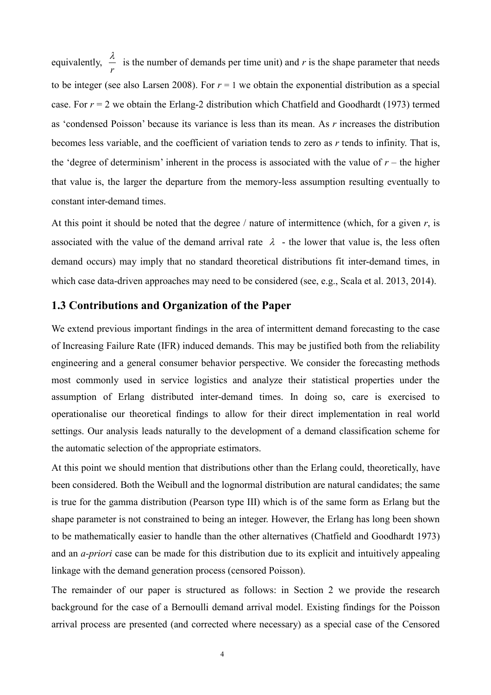equivalently, *r*  $\lambda$  is the number of demands per time unit) and *r* is the shape parameter that needs to be integer (see also Larsen 2008). For  $r = 1$  we obtain the exponential distribution as a special case. For  $r = 2$  we obtain the Erlang-2 distribution which Chatfield and Goodhardt (1973) termed as 'condensed Poisson' because its variance is less than its mean. As *r* increases the distribution becomes less variable, and the coefficient of variation tends to zero as *r* tends to infinity. That is, the 'degree of determinism' inherent in the process is associated with the value of  $r$  – the higher that value is, the larger the departure from the memory-less assumption resulting eventually to constant inter-demand times.

At this point it should be noted that the degree  $/$  nature of intermittence (which, for a given  $r$ , is associated with the value of the demand arrival rate  $\lambda$  - the lower that value is, the less often demand occurs) may imply that no standard theoretical distributions fit inter-demand times, in which case data-driven approaches may need to be considered (see, e.g., Scala et al. 2013, 2014).

## **1.3 Contributions and Organization of the Paper**

We extend previous important findings in the area of intermittent demand forecasting to the case of Increasing Failure Rate (IFR) induced demands. This may be justified both from the reliability engineering and a general consumer behavior perspective. We consider the forecasting methods most commonly used in service logistics and analyze their statistical properties under the assumption of Erlang distributed inter-demand times. In doing so, care is exercised to operationalise our theoretical findings to allow for their direct implementation in real world settings. Our analysis leads naturally to the development of a demand classification scheme for the automatic selection of the appropriate estimators.

At this point we should mention that distributions other than the Erlang could, theoretically, have been considered. Both the Weibull and the lognormal distribution are natural candidates; the same is true for the gamma distribution (Pearson type III) which is of the same form as Erlang but the shape parameter is not constrained to being an integer. However, the Erlang has long been shown to be mathematically easier to handle than the other alternatives (Chatfield and Goodhardt 1973) and an *a-priori* case can be made for this distribution due to its explicit and intuitively appealing linkage with the demand generation process (censored Poisson).

The remainder of our paper is structured as follows: in Section 2 we provide the research background for the case of a Bernoulli demand arrival model. Existing findings for the Poisson arrival process are presented (and corrected where necessary) as a special case of the Censored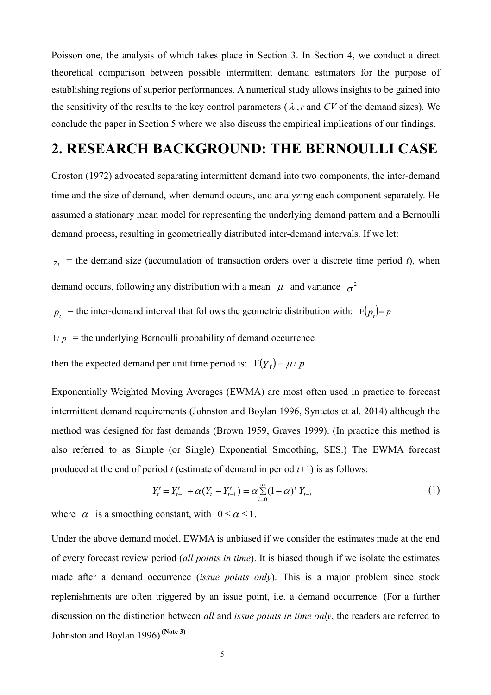Poisson one, the analysis of which takes place in Section 3. In Section 4, we conduct a direct theoretical comparison between possible intermittent demand estimators for the purpose of establishing regions of superior performances. A numerical study allows insights to be gained into the sensitivity of the results to the key control parameters  $(\lambda, r$  and  $CV$  of the demand sizes). We conclude the paper in Section 5 where we also discuss the empirical implications of our findings.

# **2. RESEARCH BACKGROUND: THE BERNOULLI CASE**

Croston (1972) advocated separating intermittent demand into two components, the inter-demand time and the size of demand, when demand occurs, and analyzing each component separately. He assumed a stationary mean model for representing the underlying demand pattern and a Bernoulli demand process, resulting in geometrically distributed inter-demand intervals. If we let:

 $z<sub>t</sub>$  = the demand size (accumulation of transaction orders over a discrete time period *t*), when demand occurs, following any distribution with a mean  $\mu$  and variance  $\sigma^2$ 

 $p_t$  = the inter-demand interval that follows the geometric distribution with:  $E(p_t) = p_t$ 

 $1/p$  = the underlying Bernoulli probability of demand occurrence

then the expected demand per unit time period is:  $E(Y_t) = \mu / p$ .

Exponentially Weighted Moving Averages (EWMA) are most often used in practice to forecast intermittent demand requirements (Johnston and Boylan 1996, Syntetos et al. 2014) although the method was designed for fast demands (Brown 1959, Graves 1999). (In practice this method is also referred to as Simple (or Single) Exponential Smoothing, SES.) The EWMA forecast produced at the end of period *t* (estimate of demand in period *t+*1) is as follows:

$$
Y'_{t} = Y'_{t-1} + \alpha (Y_{t} - Y'_{t-1}) = \alpha \sum_{i=0}^{\infty} (1 - \alpha)^{i} Y_{t-i}
$$
 (1)

where  $\alpha$  is a smoothing constant, with  $0 \le \alpha \le 1$ .

Under the above demand model, EWMA is unbiased if we consider the estimates made at the end of every forecast review period (*all points in time*). It is biased though if we isolate the estimates made after a demand occurrence (*issue points only*). This is a major problem since stock replenishments are often triggered by an issue point, i.e. a demand occurrence. (For a further discussion on the distinction between *all* and *issue points in time only*, the readers are referred to Johnston and Boylan 1996)**(Note 3)** .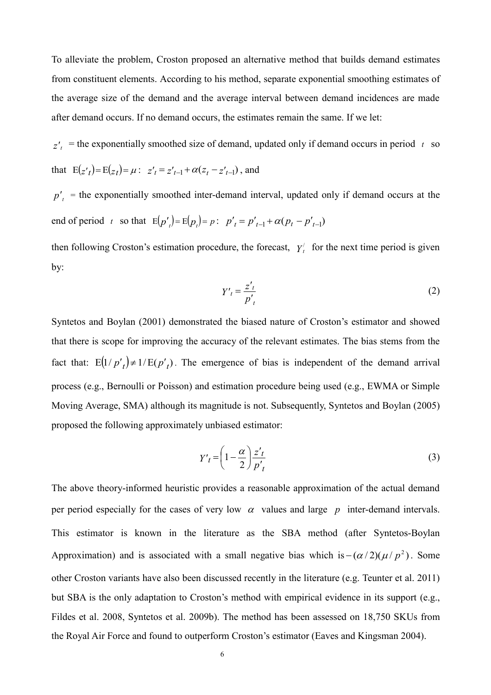To alleviate the problem, Croston proposed an alternative method that builds demand estimates from constituent elements. According to his method, separate exponential smoothing estimates of the average size of the demand and the average interval between demand incidences are made after demand occurs. If no demand occurs, the estimates remain the same. If we let:

 $z'$ <sup>*t*</sup> = the exponentially smoothed size of demand, updated only if demand occurs in period *t* so that  $E(z'_{t}) = E(z_{t}) = \mu$ :  $z'_{t} = z'_{t-1} + \alpha(z_{t} - z'_{t-1})$ , and

 $p'$ <sub>t</sub> = the exponentially smoothed inter-demand interval, updated only if demand occurs at the end of period *t* so that  $E(p'_t) = E(p_t) = p$ :  $p'_t = p'_{t-1} + \alpha (p_t - p'_{t-1})$ 

then following Croston's estimation procedure, the forecast,  $Y_t^{\dagger}$  for the next time period is given by:

$$
Y'_t = \frac{z'_t}{p'_t} \tag{2}
$$

Syntetos and Boylan (2001) demonstrated the biased nature of Croston's estimator and showed that there is scope for improving the accuracy of the relevant estimates. The bias stems from the fact that:  $E(1/p'_t) \neq 1/E(p'_t)$ . The emergence of bias is independent of the demand arrival process (e.g., Bernoulli or Poisson) and estimation procedure being used (e.g., EWMA or Simple Moving Average, SMA) although its magnitude is not. Subsequently, Syntetos and Boylan (2005) proposed the following approximately unbiased estimator:

$$
Y'_{t} = \left(1 - \frac{\alpha}{2}\right) \frac{z'_{t}}{p'_{t}}
$$
 (3)

The above theory-informed heuristic provides a reasonable approximation of the actual demand per period especially for the cases of very low  $\alpha$  values and large  $p$  inter-demand intervals. This estimator is known in the literature as the SBA method (after Syntetos-Boylan Approximation) and is associated with a small negative bias which is  $-(\alpha/2)(\mu / p^2)$ . Some other Croston variants have also been discussed recently in the literature (e.g. Teunter et al. 2011) but SBA is the only adaptation to Croston's method with empirical evidence in its support (e.g., Fildes et al. 2008, Syntetos et al. 2009b). The method has been assessed on 18,750 SKUs from the Royal Air Force and found to outperform Croston's estimator (Eaves and Kingsman 2004).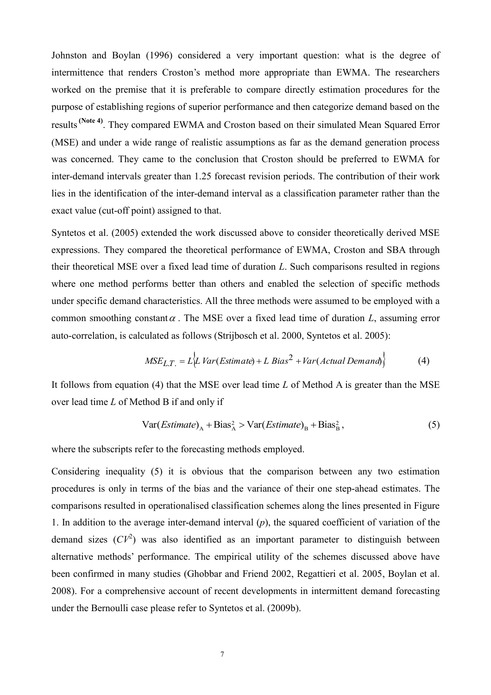Johnston and Boylan (1996) considered a very important question: what is the degree of intermittence that renders Croston's method more appropriate than EWMA. The researchers worked on the premise that it is preferable to compare directly estimation procedures for the purpose of establishing regions of superior performance and then categorize demand based on the results**(Note 4)**. They compared EWMA and Croston based on their simulated Mean Squared Error (MSE) and under a wide range of realistic assumptions as far as the demand generation process was concerned. They came to the conclusion that Croston should be preferred to EWMA for inter-demand intervals greater than 1.25 forecast revision periods. The contribution of their work lies in the identification of the inter-demand interval as a classification parameter rather than the exact value (cut-off point) assigned to that.

Syntetos et al. (2005) extended the work discussed above to consider theoretically derived MSE expressions. They compared the theoretical performance of EWMA, Croston and SBA through their theoretical MSE over a fixed lead time of duration *L*. Such comparisons resulted in regions where one method performs better than others and enabled the selection of specific methods under specific demand characteristics. All the three methods were assumed to be employed with a common smoothing constant  $\alpha$ . The MSE over a fixed lead time of duration *L*, assuming error auto-correlation, is calculated as follows (Strijbosch et al. 2000, Syntetos et al. 2005):

$$
MSE_{L.T.} = L\left\{L \text{ Var}(Estimate) + L \text{ Bias}^2 + \text{Var}(\text{Actual Demand})\right\}
$$
 (4)

It follows from equation (4) that the MSE over lead time *L* of Method A is greater than the MSE over lead time *L* of Method B if and only if

$$
Var(Estimate)A + BiasA2 > Var(Estimate)B + BiasB2, \t(5)
$$

where the subscripts refer to the forecasting methods employed.

Considering inequality (5) it is obvious that the comparison between any two estimation procedures is only in terms of the bias and the variance of their one step-ahead estimates. The comparisons resulted in operationalised classification schemes along the lines presented in Figure 1. In addition to the average inter-demand interval (*p*), the squared coefficient of variation of the demand sizes  $(CV^2)$  was also identified as an important parameter to distinguish between alternative methods' performance. The empirical utility of the schemes discussed above have been confirmed in many studies (Ghobbar and Friend 2002, Regattieri et al. 2005, Boylan et al. 2008). For a comprehensive account of recent developments in intermittent demand forecasting under the Bernoulli case please refer to Syntetos et al. (2009b).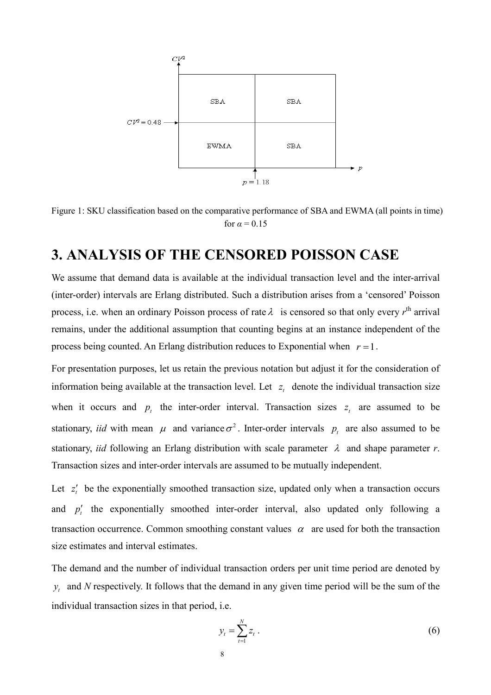

Figure 1: SKU classification based on the comparative performance of SBA and EWMA (all points in time) for  $\alpha = 0.15$ 

## **3. ANALYSIS OF THE CENSORED POISSON CASE**

We assume that demand data is available at the individual transaction level and the inter-arrival (inter-order) intervals are Erlang distributed. Such a distribution arises from a 'censored' Poisson process, i.e. when an ordinary Poisson process of rate  $\lambda$  is censored so that only every  $r<sup>th</sup>$  arrival remains, under the additional assumption that counting begins at an instance independent of the process being counted. An Erlang distribution reduces to Exponential when  $r = 1$ .

For presentation purposes, let us retain the previous notation but adjust it for the consideration of information being available at the transaction level. Let  $z_t$  denote the individual transaction size when it occurs and  $p_t$  the inter-order interval. Transaction sizes  $z_t$  are assumed to be stationary, *iid* with mean  $\mu$  and variance  $\sigma^2$ . Inter-order intervals  $p_t$  are also assumed to be stationary, *iid* following an Erlang distribution with scale parameter  $\lambda$  and shape parameter *r*. Transaction sizes and inter-order intervals are assumed to be mutually independent.

Let  $z_t$ <sup>'</sup> be the exponentially smoothed transaction size, updated only when a transaction occurs and  $p'_i$  the exponentially smoothed inter-order interval, also updated only following a transaction occurrence. Common smoothing constant values  $\alpha$  are used for both the transaction size estimates and interval estimates.

The demand and the number of individual transaction orders per unit time period are denoted by  $y_t$  and *N* respectively. It follows that the demand in any given time period will be the sum of the individual transaction sizes in that period, i.e.

$$
y_t = \sum_{t=1}^{N} z_t \,. \tag{6}
$$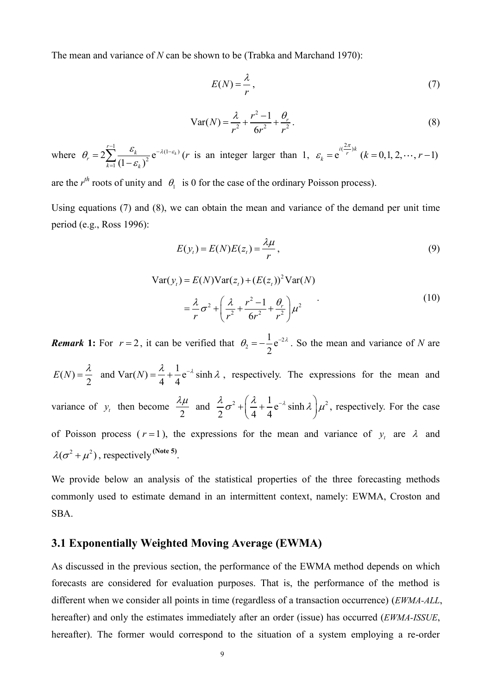The mean and variance of *N* can be shown to be (Trabka and Marchand 1970):

$$
E(N) = \frac{\lambda}{r},\tag{7}
$$

$$
Var(N) = \frac{\lambda}{r^2} + \frac{r^2 - 1}{6r^2} + \frac{\theta_r}{r^2}.
$$
 (8)

where  $\mathcal{E}_k$   $\sigma^{-\lambda(1-\varepsilon_k)}$  $\mathbf{I}_1 \left( 1 - \varepsilon_k \right)^2$  $2\sum \frac{c_k}{a_k} e^{-\frac{c_k}{a_k}}$  $\frac{\epsilon_k}{(1-\varepsilon_k)^2} e^{-\lambda(1-\varepsilon_k)}$  $P_r = 2 \sum_{k=1}^{r-1} \frac{\mathcal{E}_k}{(1 - \epsilon)}$  $_{k=1}$   $(1 - \epsilon_k)$  $\theta = 2\sum_{k=-\infty}^{\infty} \frac{\varepsilon_k}{\varepsilon} e^{-\lambda(1-\varepsilon_k)}$ ε  $\frac{-1}{\epsilon}$   $\varepsilon_k$   $\frac{1}{\epsilon}$  $=$  $=$  $\sum_{k=1}^{r-1} \frac{\varepsilon_k}{(1-\varepsilon_k)^2} e^{-\lambda(1-\varepsilon_k)} (r \text{ is an integer larger than 1}, \varepsilon_k = e^{i(\frac{2\pi}{r})k} (k=0,1,2,\cdots,r-1)$ 

are the  $r^{th}$  roots of unity and  $\theta_1$  is 0 for the case of the ordinary Poisson process).

Using equations (7) and (8), we can obtain the mean and variance of the demand per unit time period (e.g., Ross 1996):

$$
E(yt) = E(N)E(zt) = \frac{\lambda \mu}{r},
$$
\n(9)

$$
\operatorname{Var}(y_t) = E(N)\operatorname{Var}(z_t) + (E(z_t))^2 \operatorname{Var}(N)
$$
  
=  $\frac{\lambda}{r}\sigma^2 + \left(\frac{\lambda}{r^2} + \frac{r^2 - 1}{6r^2} + \frac{\theta_r}{r^2}\right)\mu^2$  (10)

**Remark 1:** For  $r = 2$ , it can be verified that  $\theta_2 = -\frac{1}{2}e^{-2}$  $\frac{1}{2}$ e 2  $\theta_2 = -\frac{1}{2} e^{-2\lambda}$ . So the mean and variance of *N* are  $(N)$  = 2  $E(N) = \frac{\lambda}{2}$  and  $Var(N) = \frac{\lambda}{4} + \frac{1}{4}e^{-\lambda}$  sinh 4 4  $N = \frac{\lambda}{\lambda} + \frac{1}{\lambda} e^{-\lambda} \sinh \lambda$ , respectively. The expressions for the mean and variance of  $y_t$  then become 2  $\frac{\lambda \mu}{\sigma}$  and  $\frac{\lambda}{\sigma} \sigma^2 + \left( \frac{\lambda}{\sigma} + \frac{1}{\sigma} e^{-\lambda} \sinh \lambda \right) \mu^2$  $2 \t(4 \t4$  $\frac{\lambda}{2}\sigma^2 + \left(\frac{\lambda}{4} + \frac{1}{4}e^{-\lambda}\sinh\lambda\right)\mu^2$ , respectively. For the case of Poisson process ( $r = 1$ ), the expressions for the mean and variance of  $y_t$  are  $\lambda$  and  $\lambda(\sigma^2 + \mu^2)$ , respectively <sup>(Note 5)</sup>.

We provide below an analysis of the statistical properties of the three forecasting methods commonly used to estimate demand in an intermittent context, namely: EWMA, Croston and SBA.

#### **3.1 Exponentially Weighted Moving Average (EWMA)**

As discussed in the previous section, the performance of the EWMA method depends on which forecasts are considered for evaluation purposes. That is, the performance of the method is different when we consider all points in time (regardless of a transaction occurrence) (*EWMA-ALL*, hereafter) and only the estimates immediately after an order (issue) has occurred (*EWMA-ISSUE*, hereafter). The former would correspond to the situation of a system employing a re-order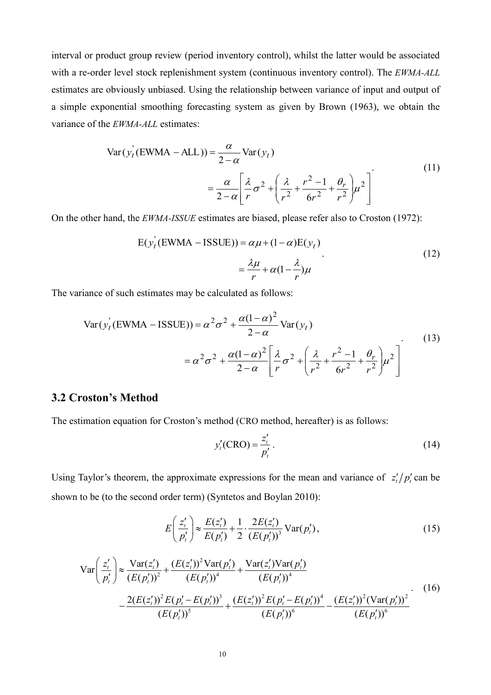interval or product group review (period inventory control), whilst the latter would be associated with a re-order level stock replenishment system (continuous inventory control). The *EWMA-ALL* estimates are obviously unbiased. Using the relationship between variance of input and output of a simple exponential smoothing forecasting system as given by Brown (1963), we obtain the variance of the *EWMA-ALL* estimates:

$$
\operatorname{Var}(y_t(\text{EWMA} - \text{ALL})) = \frac{\alpha}{2 - \alpha} \operatorname{Var}(y_t)
$$
  
= 
$$
\frac{\alpha}{2 - \alpha} \left[ \frac{\lambda}{r} \sigma^2 + \left( \frac{\lambda}{r^2} + \frac{r^2 - 1}{6r^2} + \frac{\theta_r}{r^2} \right) \mu^2 \right]
$$
 (11)

On the other hand, the *EWMA-ISSUE* estimates are biased, please refer also to Croston (1972):

$$
E(y_t^{'}(\text{EWMA} - \text{ISSUE})) = \alpha \mu + (1 - \alpha)E(y_t)
$$

$$
= \frac{\lambda \mu}{r} + \alpha (1 - \frac{\lambda}{r})\mu
$$
(12)

The variance of such estimates may be calculated as follows:

$$
\text{Var}(y_t(\text{EWMA} - \text{ISSUE})) = \alpha^2 \sigma^2 + \frac{\alpha(1-\alpha)^2}{2-\alpha} \text{Var}(y_t)
$$
\n
$$
= \alpha^2 \sigma^2 + \frac{\alpha(1-\alpha)^2}{2-\alpha} \left[ \frac{\lambda}{r} \sigma^2 + \left( \frac{\lambda}{r^2} + \frac{r^2 - 1}{6r^2} + \frac{\theta_r}{r^2} \right) \mu^2 \right] \tag{13}
$$

## **3.2 Croston's Method**

The estimation equation for Croston's method (CRO method, hereafter) is as follows:

$$
y_t'(\text{CRO}) = \frac{z_t'}{p_t'}\,. \tag{14}
$$

Using Taylor's theorem, the approximate expressions for the mean and variance of  $z_t'/p_t'$  can be shown to be (to the second order term) (Syntetos and Boylan 2010):

$$
E\left(\frac{z'_t}{p'_t}\right) \approx \frac{E(z'_t)}{E(p'_t)} + \frac{1}{2} \cdot \frac{2E(z'_t)}{(E(p'_t))^3} \text{Var}(p'_t),\tag{15}
$$

$$
\operatorname{Var}\left(\frac{z_i'}{p_i'}\right) \approx \frac{\operatorname{Var}(z_i')}{(E(p_i'))^2} + \frac{(E(z_i'))^2 \operatorname{Var}(p_i')}{(E(p_i'))^4} + \frac{\operatorname{Var}(z_i') \operatorname{Var}(p_i')}{(E(p_i'))^4} + \frac{(E(z_i'))^2}{(E(p_i'))^4} - \frac{2(E(z_i'))^2 E(p_i' - E(p_i'))^4}{(E(p_i'))^6} - \frac{(E(z_i'))^2 (\operatorname{Var}(p_i'))^2}{(E(p_i'))^6} \tag{16}
$$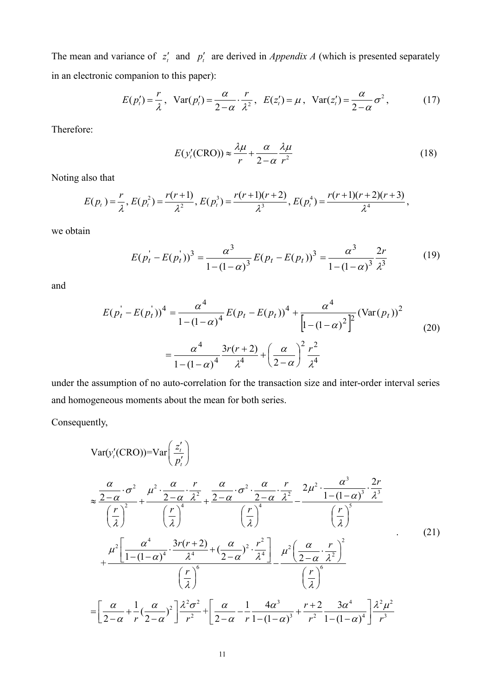The mean and variance of  $z'_i$  and  $p'_i$  are derived in *Appendix A* (which is presented separately in an electronic companion to this paper):

$$
E(p'_t) = \frac{r}{\lambda}, \quad \text{Var}(p'_t) = \frac{\alpha}{2 - \alpha} \cdot \frac{r}{\lambda^2}, \quad E(z'_t) = \mu, \quad \text{Var}(z'_t) = \frac{\alpha}{2 - \alpha} \sigma^2,
$$
 (17)

Therefore:

$$
E(y'_{t}(\text{CRO})) \approx \frac{\lambda \mu}{r} + \frac{\alpha}{2 - \alpha} \frac{\lambda \mu}{r^2}
$$
 (18)

Noting also that

$$
E(p_t) = \frac{r}{\lambda}, E(p_t^2) = \frac{r(r+1)}{\lambda^2}, E(p_t^3) = \frac{r(r+1)(r+2)}{\lambda^3}, E(p_t^4) = \frac{r(r+1)(r+2)(r+3)}{\lambda^4},
$$

we obtain

$$
E(p_t^{\dagger} - E(p_t^{\dagger}))^3 = \frac{\alpha^3}{1 - (1 - \alpha)^3} E(p_t - E(p_t))^3 = \frac{\alpha^3}{1 - (1 - \alpha)^3} \frac{2r}{\lambda^3}
$$
(19)

and

$$
E(p_t^{\dagger} - E(p_t^{\dagger}))^4 = \frac{\alpha^4}{1 - (1 - \alpha)^4} E(p_t - E(p_t))^4 + \frac{\alpha^4}{\left[1 - (1 - \alpha)^2\right]^2} (\text{Var}(p_t))^2
$$
  
= 
$$
\frac{\alpha^4}{1 - (1 - \alpha)^4} \frac{3r(r + 2)}{\lambda^4} + \left(\frac{\alpha}{2 - \alpha}\right)^2 \frac{r^2}{\lambda^4}
$$
 (20)

under the assumption of no auto-correlation for the transaction size and inter-order interval series and homogeneous moments about the mean for both series.

Consequently,

$$
\operatorname{Var}(y'_{t}(\text{CRO})) = \operatorname{Var}\left(\frac{z'_{t}}{p'_{t}}\right)
$$
\n
$$
\approx \frac{\frac{\alpha}{2-\alpha} \cdot \sigma^{2}}{\left(\frac{r}{\lambda}\right)^{2}} + \frac{\mu^{2} \cdot \frac{\alpha}{2-\alpha} \cdot \frac{r}{\lambda^{2}}}{\left(\frac{r}{\lambda}\right)^{4}} + \frac{\frac{\alpha}{2-\alpha} \cdot \sigma^{2} \cdot \frac{\alpha}{2-\alpha} \cdot \frac{r}{\lambda^{2}}}{\left(\frac{r}{\lambda}\right)^{4}} - \frac{2\mu^{2} \cdot \frac{\alpha^{3}}{1-(1-\alpha)^{3}} \cdot \frac{2r}{\lambda^{3}}}{\left(\frac{r}{\lambda}\right)^{5}}
$$
\n
$$
+ \frac{\mu^{2} \left[\frac{\alpha^{4}}{1-(1-\alpha)^{4}} \cdot \frac{3r(r+2)}{\lambda^{4}} + \left(\frac{\alpha}{2-\alpha}\right)^{2} \cdot \frac{r^{2}}{\lambda^{4}}\right]}{\left(\frac{r}{\lambda}\right)^{6}} - \frac{\mu^{2} \left(\frac{\alpha}{2-\alpha} \cdot \frac{r}{\lambda^{2}}\right)^{2}}{\left(\frac{r}{\lambda}\right)^{6}}
$$
\n
$$
= \left[\frac{\alpha}{2-\alpha} + \frac{1}{r} \left(\frac{\alpha}{2-\alpha}\right)^{2}\right] \frac{\lambda^{2} \sigma^{2}}{r^{2}} + \left[\frac{\alpha}{2-\alpha} - \frac{1}{r} \frac{4\alpha^{3}}{1-(1-\alpha)^{3}} + \frac{r+2}{r^{2}} \frac{3\alpha^{4}}{1-(1-\alpha)^{4}}\right] \frac{\lambda^{2} \mu^{2}}{r^{3}}
$$
\n(21)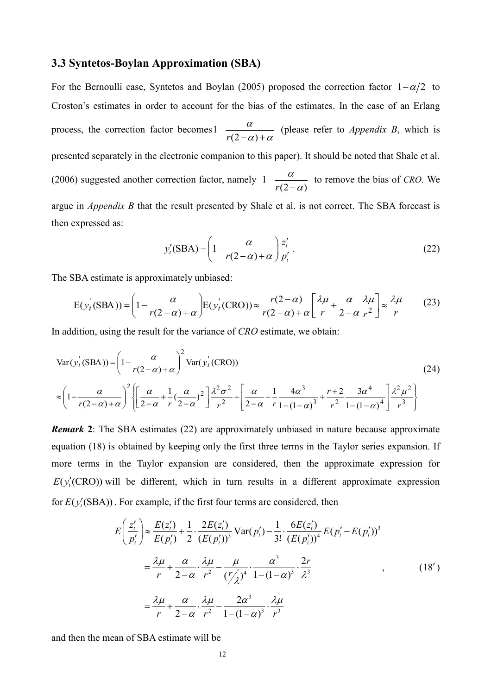#### **3.3 Syntetos-Boylan Approximation (SBA)**

For the Bernoulli case, Syntetos and Boylan (2005) proposed the correction factor  $1 - \alpha/2$  to Croston's estimates in order to account for the bias of the estimates. In the case of an Erlang process, the correction factor becomes1  $r(2-\alpha) +$ α  $\alpha$ ) +  $\alpha$ - $(\alpha) +$ (please refer to *Appendix B*, which is presented separately in the electronic companion to this paper). It should be noted that Shale et al. (2006) suggested another correction factor, namely 1  $r(2-\alpha)$  $\alpha$  $-\frac{a}{r(2-a)}$ to remove the bias of *CRO*. We argue in *Appendix B* that the result presented by Shale et al. is not correct. The SBA forecast is then expressed as:

$$
y'_{t}(\text{SBA}) = \left(1 - \frac{\alpha}{r(2-\alpha) + \alpha}\right) \frac{z'_{t}}{p'_{t}}.
$$
 (22)

The SBA estimate is approximately unbiased:

$$
E(y_t^{'}(SBA)) = \left(1 - \frac{\alpha}{r(2-\alpha) + \alpha}\right) E(y_t^{'}(CRO)) \approx \frac{r(2-\alpha)}{r(2-\alpha) + \alpha} \left[\frac{\lambda\mu}{r} + \frac{\alpha}{2-\alpha}\frac{\lambda\mu}{r^2}\right] \approx \frac{\lambda\mu}{r}
$$
(23)

In addition, using the result for the variance of *CRO* estimate, we obtain:

$$
Var(yti(SBA)) = \left(1 - \frac{\alpha}{r(2-\alpha)+\alpha}\right)^2 Var(yti(CRO))
$$
\n
$$
\approx \left(1 - \frac{\alpha}{r(2-\alpha)+\alpha}\right)^2 \left\{ \left[\frac{\alpha}{2-\alpha} + \frac{1}{r}(\frac{\alpha}{2-\alpha})^2\right] \frac{\lambda^2 \sigma^2}{r^2} + \left[\frac{\alpha}{2-\alpha} - \frac{1}{r} \frac{4\alpha^3}{1-(1-\alpha)^3} + \frac{r+2}{r^2} \frac{3\alpha^4}{1-(1-\alpha)^4} \right] \frac{\lambda^2 \mu^2}{r^3} \right\}
$$
\n(24)

*Remark* 2: The SBA estimates (22) are approximately unbiased in nature because approximate equation (18) is obtained by keeping only the first three terms in the Taylor series expansion. If more terms in the Taylor expansion are considered, then the approximate expression for  $E(y<sub>t</sub>'$ (CRO)) will be different, which in turn results in a different approximate expression for  $E(y'_t(SBA))$ . For example, if the first four terms are considered, then

$$
E\left(\frac{z'_t}{p'_t}\right) \approx \frac{E(z'_t)}{E(p'_t)} + \frac{1}{2} \cdot \frac{2E(z'_t)}{(E(p'_t))^3} \text{Var}(p'_t) - \frac{1}{3!} \cdot \frac{6E(z'_t)}{(E(p'_t))^4} E(p'_t - E(p'_t))^3
$$
  

$$
= \frac{\lambda \mu}{r} + \frac{\alpha}{2 - \alpha} \cdot \frac{\lambda \mu}{r^2} - \frac{\mu}{(r'_\lambda)^4} \cdot \frac{\alpha^3}{1 - (1 - \alpha)^3} \cdot \frac{2r}{\lambda^3}
$$
  

$$
= \frac{\lambda \mu}{r} + \frac{\alpha}{2 - \alpha} \cdot \frac{\lambda \mu}{r^2} - \frac{2\alpha^3}{1 - (1 - \alpha)^3} \cdot \frac{\lambda \mu}{r^3}
$$
 (18')

and then the mean of SBA estimate will be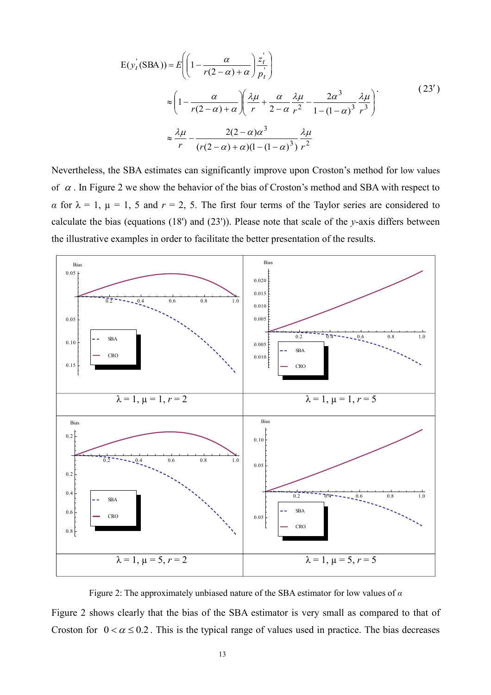$$
E(y_t^{\dagger}(\text{SBA})) = E\left(\left(1 - \frac{\alpha}{r(2-\alpha) + \alpha}\right) \frac{z_t^{\dagger}}{p_t^{\dagger}}\right)
$$
  
\n
$$
\approx \left(1 - \frac{\alpha}{r(2-\alpha) + \alpha}\right) \left(\frac{\lambda\mu}{r} + \frac{\alpha}{2-\alpha} \frac{\lambda\mu}{r^2} - \frac{2\alpha^3}{1 - (1-\alpha)^3} \frac{\lambda\mu}{r^3}\right)
$$
  
\n
$$
\approx \frac{\lambda\mu}{r} - \frac{2(2-\alpha)\alpha^3}{(r(2-\alpha) + \alpha)(1 - (1-\alpha)^3)} \frac{\lambda\mu}{r^2}
$$
 (23')

Nevertheless, the SBA estimates can significantly improve upon Croston's method for low values of  $\alpha$ . In Figure 2 we show the behavior of the bias of Croston's method and SBA with respect to *α* for  $\lambda = 1$ ,  $\mu = 1$ , 5 and  $r = 2$ , 5. The first four terms of the Taylor series are considered to calculate the bias (equations (18') and (23')). Please note that scale of the *y*-axis differs between the illustrative examples in order to facilitate the better presentation of the results.





Figure 2 shows clearly that the bias of the SBA estimator is very small as compared to that of Croston for  $0 < \alpha \leq 0.2$ . This is the typical range of values used in practice. The bias decreases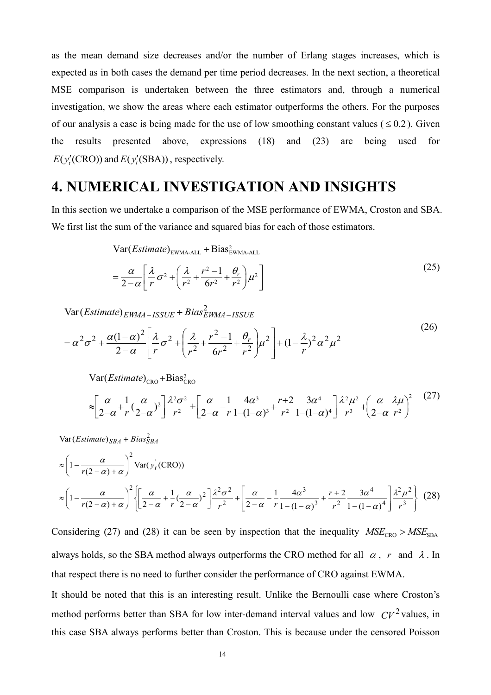as the mean demand size decreases and/or the number of Erlang stages increases, which is expected as in both cases the demand per time period decreases. In the next section, a theoretical MSE comparison is undertaken between the three estimators and, through a numerical investigation, we show the areas where each estimator outperforms the others. For the purposes of our analysis a case is being made for the use of low smoothing constant values ( $\leq 0.2$ ). Given the results presented above, expressions (18) and (23) are being used for  $E(y'_t(CRO))$  and  $E(y'_t(SBA))$ , respectively.

# **4. NUMERICAL INVESTIGATION AND INSIGHTS**

In this section we undertake a comparison of the MSE performance of EWMA, Croston and SBA. We first list the sum of the variance and squared bias for each of those estimators.

 $Var(Estimate)_{\text{EWMA-ALL}} + \text{Bias}_{\text{EWMA-ALL}}^2$ 

$$
= \frac{\alpha}{2-\alpha} \left[ \frac{\lambda}{r} \sigma^2 + \left( \frac{\lambda}{r^2} + \frac{r^2 - 1}{6r^2} + \frac{\theta_r}{r^2} \right) \mu^2 \right]
$$
 (25)

 $Var(Estimate)_{EWMA-ISSUE} + Bias_{EWMA-ISSUE}^2$ 

$$
= \alpha^2 \sigma^2 + \frac{\alpha (1 - \alpha)^2}{2 - \alpha} \left[ \frac{\lambda}{r} \sigma^2 + \left( \frac{\lambda}{r^2} + \frac{r^2 - 1}{6r^2} + \frac{\theta_r}{r^2} \right) \mu^2 \right] + (1 - \frac{\lambda}{r})^2 \alpha^2 \mu^2
$$
 (26)

Var(*Estimate*)<sub>CRO</sub> + Bias<sup>2</sup><sub>CRO</sub>

$$
\approx \left[\frac{\alpha}{2-\alpha} + \frac{1}{r} \left(\frac{\alpha}{2-\alpha}\right)^2\right] \frac{\lambda^2 \sigma^2}{r^2} + \left[\frac{\alpha}{2-\alpha} - \frac{1}{r} \frac{4\alpha^3}{1-(1-\alpha)^3} + \frac{r+2}{r^2} \frac{3\alpha^4}{1-(1-\alpha)^4}\right] \frac{\lambda^2 \mu^2}{r^3} + \left(\frac{\alpha}{2-\alpha} \frac{\lambda \mu}{r^2}\right)^2 \tag{27}
$$

 $Var(Estimate)_{SBA} + Bias_{SBA}^2$ 

$$
\approx \left(1 - \frac{\alpha}{r(2-\alpha)+\alpha}\right)^2 \text{Var}(y_t'(CRO))
$$
  

$$
\approx \left(1 - \frac{\alpha}{r(2-\alpha)+\alpha}\right)^2 \left\{ \left[\frac{\alpha}{2-\alpha} + \frac{1}{r}(\frac{\alpha}{2-\alpha})^2\right] \frac{\lambda^2 \sigma^2}{r^2} + \left[\frac{\alpha}{2-\alpha} - \frac{1}{r} \frac{4\alpha^3}{1-(1-\alpha)^3} + \frac{r+2}{r^2} \frac{3\alpha^4}{1-(1-\alpha)^4} \right] \frac{\lambda^2 \mu^2}{r^3} \right\}
$$
(28)

Considering (27) and (28) it can be seen by inspection that the inequality  $MSE_{CRO} > MSE_{SBA}$ always holds, so the SBA method always outperforms the CRO method for all  $\alpha$ , r and  $\lambda$ . In that respect there is no need to further consider the performance of CRO against EWMA.

It should be noted that this is an interesting result. Unlike the Bernoulli case where Croston's method performs better than SBA for low inter-demand interval values and low  $CV^2$  values, in this case SBA always performs better than Croston. This is because under the censored Poisson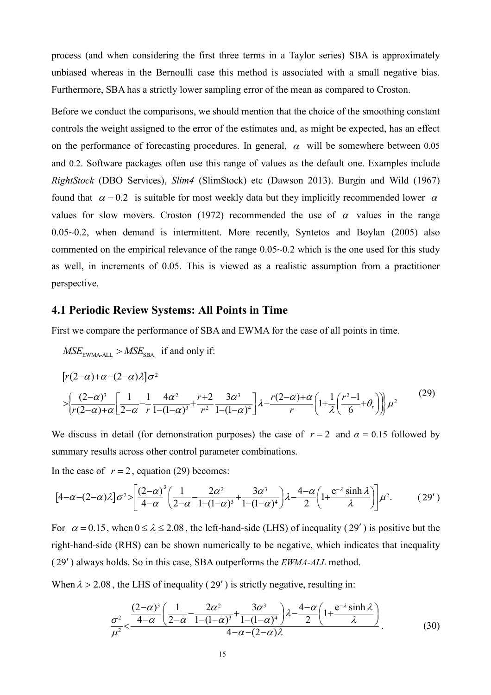process (and when considering the first three terms in a Taylor series) SBA is approximately unbiased whereas in the Bernoulli case this method is associated with a small negative bias. Furthermore, SBA has a strictly lower sampling error of the mean as compared to Croston.

Before we conduct the comparisons, we should mention that the choice of the smoothing constant controls the weight assigned to the error of the estimates and, as might be expected, has an effect on the performance of forecasting procedures. In general,  $\alpha$  will be somewhere between 0.05 and 0.2. Software packages often use this range of values as the default one. Examples include *RightStock* (DBO Services), *Slim4* (SlimStock) etc (Dawson 2013). Burgin and Wild (1967) found that  $\alpha = 0.2$  is suitable for most weekly data but they implicitly recommended lower  $\alpha$ values for slow movers. Croston (1972) recommended the use of  $\alpha$  values in the range 0.05~0.2, when demand is intermittent. More recently, Syntetos and Boylan (2005) also commented on the empirical relevance of the range 0.05~0.2 which is the one used for this study as well, in increments of 0.05. This is viewed as a realistic assumption from a practitioner perspective.

## **4.1 Periodic Review Systems: All Points in Time**

First we compare the performance of SBA and EWMA for the case of all points in time.

$$
\begin{aligned} &\text{[r(2-\alpha)+\alpha-(2-\alpha)\lambda]\sigma^2} \\ &\geq \left(\frac{(2-\alpha)^3}{r(2-\alpha)+\alpha}\left[\frac{1}{2-\alpha}-\frac{1}{r}\frac{4\alpha^2}{1-(1-\alpha)^3}+\frac{r+2}{r^2}\frac{3\alpha^3}{1-(1-\alpha)^4}\right]\lambda-\frac{r(2-\alpha)+\alpha}{r}\left(1+\frac{1}{\lambda}\left(\frac{r^2-1}{6}+\theta_r\right)\right)\right)\mu^2 \end{aligned}
$$

(29)

We discuss in detail (for demonstration purposes) the case of  $r = 2$  and  $\alpha = 0.15$  followed by summary results across other control parameter combinations.

In the case of  $r = 2$ , equation (29) becomes:

 $MSE \longrightarrow MSE$  if and only if:

$$
\left[4-\alpha-(2-\alpha)\lambda\right]\sigma^2>\left[\frac{(2-\alpha)^3}{4-\alpha}\left(\frac{1}{2-\alpha}-\frac{2\alpha^2}{1-(1-\alpha)^3}+\frac{3\alpha^3}{1-(1-\alpha)^4}\right)\lambda-\frac{4-\alpha}{2}\left(1+\frac{e^{-\lambda}\sinh\lambda}{\lambda}\right)\right]\mu^2.\tag{29'}
$$

For  $\alpha = 0.15$ , when  $0 \le \lambda \le 2.08$ , the left-hand-side (LHS) of inequality (29') is positive but the right-hand-side (RHS) can be shown numerically to be negative, which indicates that inequality (29') always holds. So in this case, SBA outperforms the *EWMA-ALL* method.

When  $\lambda > 2.08$ , the LHS of inequality (29') is strictly negative, resulting in:

$$
\frac{\sigma^2}{\mu^2} < \frac{\frac{(2-\alpha)^3}{4-\alpha} \left(\frac{1}{2-\alpha} - \frac{2\alpha^2}{1-(1-\alpha)^3} + \frac{3\alpha^3}{1-(1-\alpha)^4}\right) \lambda - \frac{4-\alpha}{2} \left(1 + \frac{e^{-\lambda}\sinh\lambda}{\lambda}\right)}{4-\alpha - (2-\alpha)\lambda}.
$$
 (30)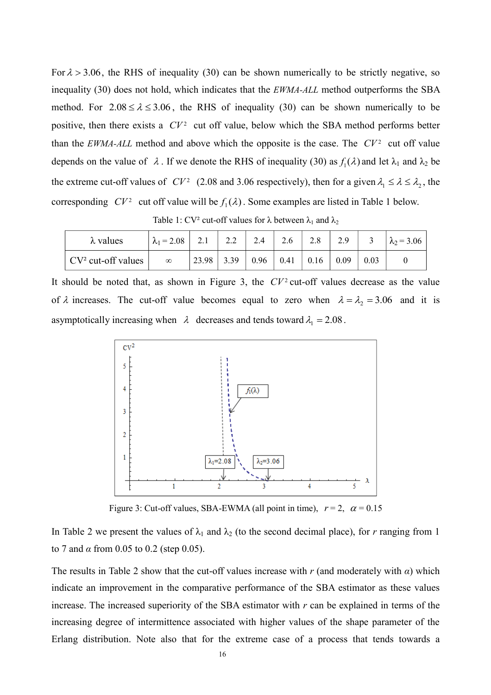For  $\lambda > 3.06$ , the RHS of inequality (30) can be shown numerically to be strictly negative, so inequality (30) does not hold, which indicates that the *EWMA-ALL* method outperforms the SBA method. For  $2.08 \le \lambda \le 3.06$ , the RHS of inequality (30) can be shown numerically to be positive, then there exists a  $CV<sup>2</sup>$  cut off value, below which the SBA method performs better than the *EWMA-ALL* method and above which the opposite is the case. The  $CV^2$  cut off value depends on the value of  $\lambda$ . If we denote the RHS of inequality (30) as  $f_1(\lambda)$  and let  $\lambda_1$  and  $\lambda_2$  be the extreme cut-off values of  $CV^2$  (2.08 and 3.06 respectively), then for a given  $\lambda_1 \le \lambda \le \lambda_2$ , the corresponding  $CV^2$  cut off value will be  $f_1(\lambda)$ . Some examples are listed in Table 1 below.

| $\lambda$ values     | $\lambda_1 = 2.08$   2.1   2.2   2.4 |                                                                                        |  | $\frac{1}{2.6}$ $\frac{1}{2}$ | $\begin{array}{c} \begin{array}{c} \end{array} \end{array}$ | 2.9 |      | 3 $\lambda_2 = 3.06$ |
|----------------------|--------------------------------------|----------------------------------------------------------------------------------------|--|-------------------------------|-------------------------------------------------------------|-----|------|----------------------|
| $CV2$ cut-off values | $\infty$                             | $\vert$ 23.98 $\vert$ 3.39 $\vert$ 0.96 $\vert$ 0.41 $\vert$ 0.16 $\vert$ 0.09 $\vert$ |  |                               |                                                             |     | 0.03 |                      |

Table 1: CV<sup>2</sup> cut-off values for  $\lambda$  between  $\lambda_1$  and  $\lambda_2$ 

It should be noted that, as shown in Figure 3, the  $CV<sup>2</sup>$  cut-off values decrease as the value of  $\lambda$  increases. The cut-off value becomes equal to zero when  $\lambda = \lambda_2 = 3.06$  and it is asymptotically increasing when  $\lambda$  decreases and tends toward  $\lambda_1 = 2.08$ .



Figure 3: Cut-off values, SBA-EWMA (all point in time),  $r = 2$ ,  $\alpha = 0.15$ 

In Table 2 we present the values of  $\lambda_1$  and  $\lambda_2$  (to the second decimal place), for *r* ranging from 1 to 7 and *α* from 0.05 to 0.2 (step 0.05).

The results in Table 2 show that the cut-off values increase with *r* (and moderately with *α*) which indicate an improvement in the comparative performance of the SBA estimator as these values increase. The increased superiority of the SBA estimator with *r* can be explained in terms of the increasing degree of intermittence associated with higher values of the shape parameter of the Erlang distribution. Note also that for the extreme case of a process that tends towards a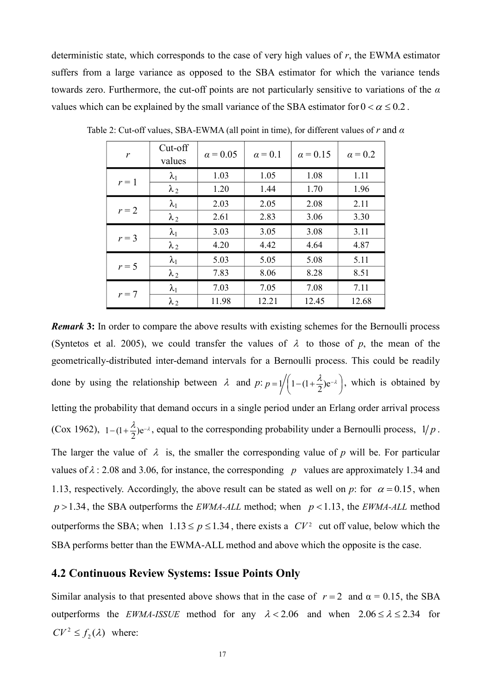deterministic state, which corresponds to the case of very high values of *r*, the EWMA estimator suffers from a large variance as opposed to the SBA estimator for which the variance tends towards zero. Furthermore, the cut-off points are not particularly sensitive to variations of the *α* values which can be explained by the small variance of the SBA estimator for  $0 < \alpha \leq 0.2$ .

| r       | $Cut-off$<br>values | $\alpha$ = 0.05 | $\alpha = 0.1$ | $\alpha$ = 0.15 | $\alpha$ = 0.2 |
|---------|---------------------|-----------------|----------------|-----------------|----------------|
| $r=1$   | $\lambda_1$         | 1.03            | 1.05           | 1.08            | 1.11           |
|         | $\lambda_2$         | 1.20            | 1.44           | 1.70            | 1.96           |
|         | $\lambda_1$         | 2.03            | 2.05           | 2.08            | 2.11           |
| $r = 2$ | $\lambda_2$         | 2.61            | 2.83           | 3.06            | 3.30           |
| $r = 3$ | $\lambda_1$         | 3.03            | 3.05           | 3.08            | 3.11           |
|         | $\lambda_2$         | 4.20            | 4.42           | 4.64            | 4.87           |
| $r = 5$ | $\lambda_1$         | 5.03            | 5.05           | 5.08            | 5.11           |
|         | $\lambda_2$         | 7.83            | 8.06           | 8.28            | 8.51           |
| $r=7$   | $\lambda_1$         | 7.03            | 7.05           | 7.08            | 7.11           |
|         | $\lambda_2$         | 11.98           | 12.21          | 12.45           | 12.68          |

Table 2: Cut-off values, SBA-EWMA (all point in time), for different values of *r* and *α*

*Remark* 3: In order to compare the above results with existing schemes for the Bernoulli process (Syntetos et al. 2005), we could transfer the values of  $\lambda$  to those of p, the mean of the geometrically-distributed inter-demand intervals for a Bernoulli process. This could be readily done by using the relationship between  $\lambda$  and  $p: p = 1/(1-(1+\frac{\lambda}{2})e^{-\lambda})$ , which is obtained by letting the probability that demand occurs in a single period under an Erlang order arrival process (Cox 1962),  $1-(1+\frac{\lambda}{2})e^{-\lambda}$ , equal to the corresponding probability under a Bernoulli process,  $1/p$ . The larger the value of  $\lambda$  is, the smaller the corresponding value of  $p$  will be. For particular values of  $\lambda$  : 2.08 and 3.06, for instance, the corresponding *p* values are approximately 1.34 and 1.13, respectively. Accordingly, the above result can be stated as well on *p*: for  $\alpha = 0.15$ , when  $p > 1.34$ , the SBA outperforms the *EWMA-ALL* method; when  $p < 1.13$ , the *EWMA-ALL* method outperforms the SBA; when  $1.13 \le p \le 1.34$ , there exists a  $CV^2$  cut off value, below which the SBA performs better than the EWMA-ALL method and above which the opposite is the case.

## **4.2 Continuous Review Systems: Issue Points Only**

Similar analysis to that presented above shows that in the case of  $r = 2$  and  $\alpha = 0.15$ , the SBA outperforms the *EWMA-ISSUE* method for any  $\lambda < 2.06$  and when  $2.06 \le \lambda \le 2.34$  for  $CV^2 \le f_2(\lambda)$  where: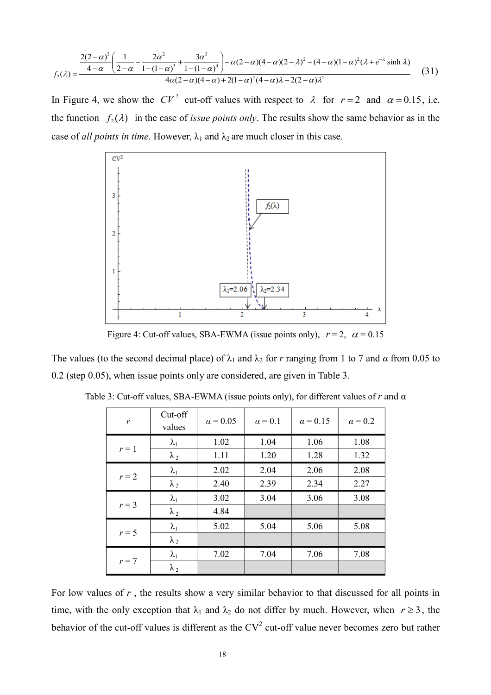$$
f_2(\lambda) = \frac{\frac{2(2-\alpha)^3}{4-\alpha} \left(\frac{1}{2-\alpha} - \frac{2\alpha^2}{1-(1-\alpha)^3} + \frac{3\alpha^3}{1-(1-\alpha)^4}\right) - \alpha(2-\alpha)(4-\alpha)(2-\lambda)^2 - (4-\alpha)(1-\alpha)^2(\lambda + e^{-\lambda}\sinh\lambda)}{4\alpha(2-\alpha)(4-\alpha) + 2(1-\alpha)^2(4-\alpha)\lambda - 2(2-\alpha)\lambda^2}
$$
(31)

In Figure 4, we show the  $CV^2$  cut-off values with respect to  $\lambda$  for  $r = 2$  and  $\alpha = 0.15$ , i.e. the function  $f_2(\lambda)$  in the case of *issue points only*. The results show the same behavior as in the case of *all points in time*. However,  $\lambda_1$  and  $\lambda_2$  are much closer in this case.



Figure 4: Cut-off values, SBA-EWMA (issue points only),  $r = 2$ ,  $\alpha = 0.15$ 

The values (to the second decimal place) of  $\lambda_1$  and  $\lambda_2$  for *r* ranging from 1 to 7 and  $\alpha$  from 0.05 to 0.2 (step 0.05), when issue points only are considered, are given in Table 3.

| r       | Cut-off<br>values | $\alpha$ = 0.05 | $\alpha = 0.1$ | $\alpha$ = 0.15 | $\alpha$ = 0.2 |
|---------|-------------------|-----------------|----------------|-----------------|----------------|
| $r=1$   | $\lambda_1$       | 1.02            | 1.04           | 1.06            | 1.08           |
|         | $\lambda_2$       | 1.11            | 1.20           | 1.28            | 1.32           |
| $r = 2$ | $\lambda_1$       | 2.02            | 2.04           | 2.06            | 2.08           |
|         | $\lambda_2$       | 2.40            | 2.39           | 2.34            | 2.27           |
| $r = 3$ | $\lambda_1$       | 3.02            | 3.04           | 3.06            | 3.08           |
|         | $\lambda_2$       | 4.84            |                |                 |                |
| $r = 5$ | $\lambda_1$       | 5.02            | 5.04           | 5.06            | 5.08           |
|         | $\lambda_2$       |                 |                |                 |                |
| $r=7$   | $\lambda_1$       | 7.02            | 7.04           | 7.06            | 7.08           |
|         | $\lambda_2$       |                 |                |                 |                |

Table 3: Cut-off values, SBA-EWMA (issue points only), for different values of *r* and α

For low values of r, the results show a very similar behavior to that discussed for all points in time, with the only exception that  $\lambda_1$  and  $\lambda_2$  do not differ by much. However, when  $r \ge 3$ , the behavior of the cut-off values is different as the  $CV^2$  cut-off value never becomes zero but rather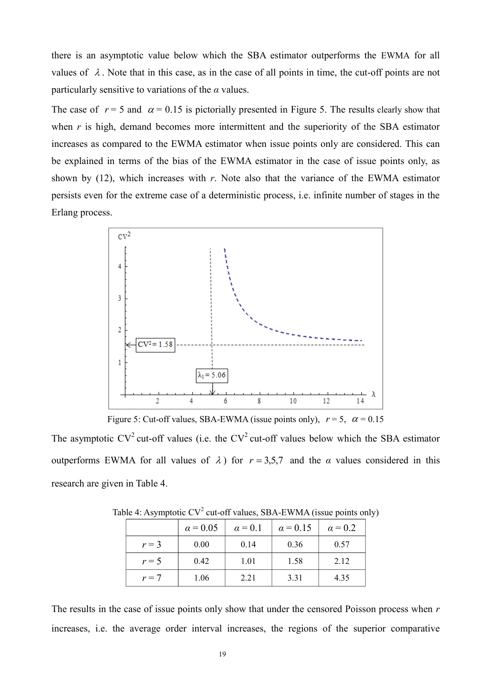there is an asymptotic value below which the SBA estimator outperforms the EWMA for all values of  $\lambda$ . Note that in this case, as in the case of all points in time, the cut-off points are not particularly sensitive to variations of the *α* values.

The case of  $r = 5$  and  $\alpha = 0.15$  is pictorially presented in Figure 5. The results clearly show that when  $r$  is high, demand becomes more intermittent and the superiority of the SBA estimator increases as compared to the EWMA estimator when issue points only are considered. This can be explained in terms of the bias of the EWMA estimator in the case of issue points only, as shown by (12), which increases with *r*. Note also that the variance of the EWMA estimator persists even for the extreme case of a deterministic process, i.e. infinite number of stages in the Erlang process.



Figure 5: Cut-off values, SBA-EWMA (issue points only),  $r = 5$ ,  $\alpha = 0.15$ 

The asymptotic  $CV^2$  cut-off values (i.e. the  $CV^2$  cut-off values below which the SBA estimator outperforms EWMA for all values of  $\lambda$ ) for  $r = 3.5,7$  and the  $\alpha$  values considered in this research are given in Table 4.

|         | $\alpha$ = 0.05 | $\alpha = 0.1$ | $\alpha$ = 0.15 | $\alpha$ = 0.2 |
|---------|-----------------|----------------|-----------------|----------------|
| $r = 3$ | 0.00            | 0.14           | 0.36            | 0.57           |
| $r = 5$ | 0.42            | 1.01           | 1.58            | 2.12           |
| $r=7$   | 1.06            | 2.21           | 3.31            | 4.35           |

Table 4: Asymptotic  $CV^2$  cut-off values, SBA-EWMA (issue points only)

The results in the case of issue points only show that under the censored Poisson process when *r* increases, i.e. the average order interval increases, the regions of the superior comparative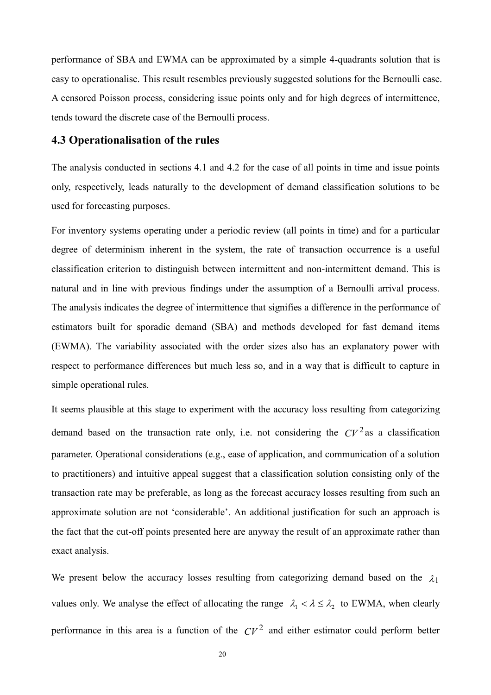performance of SBA and EWMA can be approximated by a simple 4-quadrants solution that is easy to operationalise. This result resembles previously suggested solutions for the Bernoulli case. A censored Poisson process, considering issue points only and for high degrees of intermittence, tends toward the discrete case of the Bernoulli process.

#### **4.3 Operationalisation of the rules**

The analysis conducted in sections 4.1 and 4.2 for the case of all points in time and issue points only, respectively, leads naturally to the development of demand classification solutions to be used for forecasting purposes.

For inventory systems operating under a periodic review (all points in time) and for a particular degree of determinism inherent in the system, the rate of transaction occurrence is a useful classification criterion to distinguish between intermittent and non-intermittent demand. This is natural and in line with previous findings under the assumption of a Bernoulli arrival process. The analysis indicates the degree of intermittence that signifies a difference in the performance of estimators built for sporadic demand (SBA) and methods developed for fast demand items (EWMA). The variability associated with the order sizes also has an explanatory power with respect to performance differences but much less so, and in a way that is difficult to capture in simple operational rules.

It seems plausible at this stage to experiment with the accuracy loss resulting from categorizing demand based on the transaction rate only, i.e. not considering the  $CV^2$  as a classification parameter. Operational considerations (e.g., ease of application, and communication of a solution to practitioners) and intuitive appeal suggest that a classification solution consisting only of the transaction rate may be preferable, as long as the forecast accuracy losses resulting from such an approximate solution are not 'considerable'. An additional justification for such an approach is the fact that the cut-off points presented here are anyway the result of an approximate rather than exact analysis.

We present below the accuracy losses resulting from categorizing demand based on the  $\lambda_1$ values only. We analyse the effect of allocating the range  $\lambda_1 < \lambda \leq \lambda_2$  to EWMA, when clearly performance in this area is a function of the  $CV^2$  and either estimator could perform better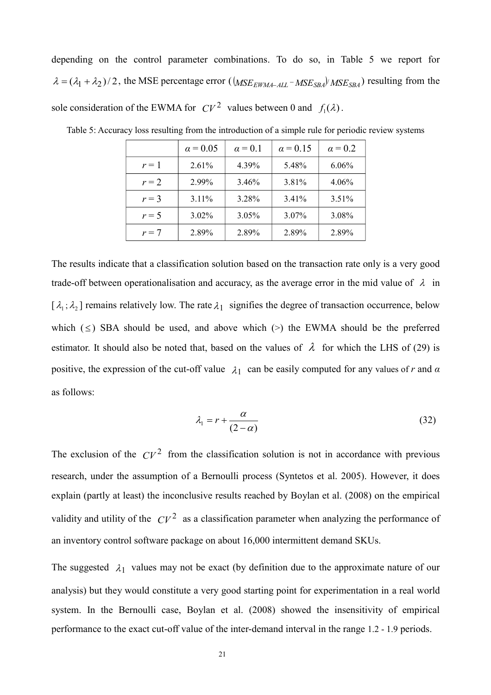depending on the control parameter combinations. To do so, in Table 5 we report for  $\lambda = (\lambda_1 + \lambda_2)/2$ , the MSE percentage error ( $(MSE_{EWMA-ALL} - MSE_{SBA})$  *MSE<sub>SBA</sub>*) resulting from the sole consideration of the EWMA for  $CV^2$  values between 0 and  $f_1(\lambda)$ .

|         | $\alpha$ = 0.05 | $\alpha = 0.1$ | $\alpha$ = 0.15 | $\alpha = 0.2$ |
|---------|-----------------|----------------|-----------------|----------------|
| $r=1$   | 2.61%           | 4.39%          | 5.48%           | 6.06%          |
| $r=2$   | 2.99%           | 3.46%          | 3.81%           | 4.06%          |
| $r = 3$ | $3.11\%$        | 3.28%          | 3.41%           | 3.51%          |
| $r = 5$ | 3.02%           | 3.05%          | 3.07%           | 3.08%          |
| $r=7$   | 2.89%           | 2.89%          | 2.89%           | 2.89%          |

Table 5: Accuracy loss resulting from the introduction of a simple rule for periodic review systems

The results indicate that a classification solution based on the transaction rate only is a very good trade-off between operationalisation and accuracy, as the average error in the mid value of  $\lambda$  in  $[\lambda_1; \lambda_2]$  remains relatively low. The rate  $\lambda_1$  signifies the degree of transaction occurrence, below which  $(\le)$  SBA should be used, and above which  $(\ge)$  the EWMA should be the preferred estimator. It should also be noted that, based on the values of  $\lambda$  for which the LHS of (29) is positive, the expression of the cut-off value  $\lambda_1$  can be easily computed for any values of *r* and  $\alpha$ as follows:

$$
\lambda_1 = r + \frac{\alpha}{(2 - \alpha)}\tag{32}
$$

The exclusion of the  $CV^2$  from the classification solution is not in accordance with previous research, under the assumption of a Bernoulli process (Syntetos et al. 2005). However, it does explain (partly at least) the inconclusive results reached by Boylan et al. (2008) on the empirical validity and utility of the  $CV^2$  as a classification parameter when analyzing the performance of an inventory control software package on about 16,000 intermittent demand SKUs.

The suggested  $\lambda_1$  values may not be exact (by definition due to the approximate nature of our analysis) but they would constitute a very good starting point for experimentation in a real world system. In the Bernoulli case, Boylan et al. (2008) showed the insensitivity of empirical performance to the exact cut-off value of the inter-demand interval in the range 1.2 - 1.9 periods.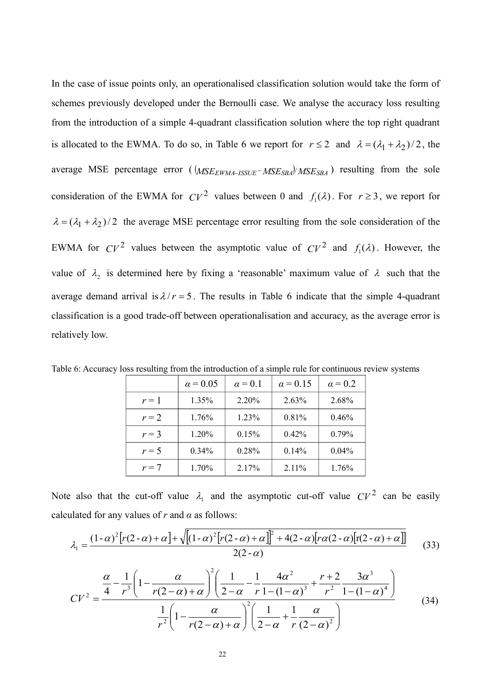In the case of issue points only, an operationalised classification solution would take the form of schemes previously developed under the Bernoulli case. We analyse the accuracy loss resulting from the introduction of a simple 4-quadrant classification solution where the top right quadrant is allocated to the EWMA. To do so, in Table 6 we report for  $r \le 2$  and  $\lambda = (\lambda_1 + \lambda_2)/2$ , the average MSE percentage error ( $(MSE_{EWMA-ISSUE} - MSE_{SBA})$  *MSE<sub>SBA</sub>*) resulting from the sole consideration of the EWMA for  $CV^2$  values between 0 and  $f_1(\lambda)$ . For  $r \ge 3$ , we report for  $\lambda = (\lambda_1 + \lambda_2)/2$  the average MSE percentage error resulting from the sole consideration of the EWMA for  $CV^2$  values between the asymptotic value of  $CV^2$  and  $f_1(\lambda)$ . However, the value of  $\lambda_2$  is determined here by fixing a 'reasonable' maximum value of  $\lambda$  such that the average demand arrival is  $\lambda/r = 5$ . The results in Table 6 indicate that the simple 4-quadrant classification is a good trade-off between operationalisation and accuracy, as the average error is relatively low.

|         | $\alpha$ = 0.05 | $\alpha = 0.1$ | $\alpha$ = 0.15 | $\alpha$ = 0.2 |
|---------|-----------------|----------------|-----------------|----------------|
| $r=1$   | 1.35%           | 2.20%          | 2.63%           | 2.68%          |
| $r=2$   | 1.76%           | 1.23%          | 0.81%           | 0.46%          |
| $r = 3$ | 1.20%           | 0.15%          | $0.42\%$        | 0.79%          |
| $r = 5$ | $0.34\%$        | 0.28%          | 0.14%           | $0.04\%$       |
| $r=7$   | 1.70%           | 2.17%          | $2.11\%$        | 1.76%          |

Table 6: Accuracy loss resulting from the introduction of a simple rule for continuous review systems

Note also that the cut-off value  $\lambda_1$  and the asymptotic cut-off value  $CV^2$  can be easily calculated for any values of  $r$  and  $\alpha$  as follows:

$$
\lambda_1 = \frac{(1-\alpha)^2 \left[r(2-\alpha)+\alpha\right] + \sqrt{\left[(1-\alpha)^2 \left[r(2-\alpha)+\alpha\right]\right]^2 + 4(2-\alpha) \left[r\alpha(2-\alpha)\left[r(2-\alpha)+\alpha\right]\right]}}{2(2-\alpha)}\tag{33}
$$

$$
CV^{2} = \frac{\frac{\alpha}{4} - \frac{1}{r^{3}} \left( 1 - \frac{\alpha}{r(2-\alpha) + \alpha} \right)^{2} \left( \frac{1}{2-\alpha} - \frac{1}{r} \frac{4\alpha^{2}}{1 - (1-\alpha)^{3}} + \frac{r+2}{r^{2}} \frac{3\alpha^{3}}{1 - (1-\alpha)^{4}} \right)}{\frac{1}{r^{2}} \left( 1 - \frac{\alpha}{r(2-\alpha) + \alpha} \right)^{2} \left( \frac{1}{2-\alpha} + \frac{1}{r} \frac{\alpha}{(2-\alpha)^{2}} \right)}
$$
(34)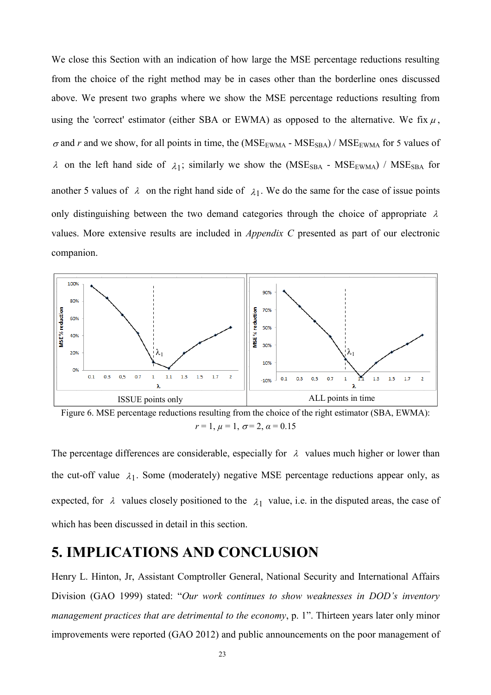We close this Section with an indication of how large the MSE percentage reductions resulting from the choice of the right method may be in cases other than the borderline ones discussed above. We present two graphs where we show the MSE percentage reductions resulting from using the 'correct' estimator (either SBA or EWMA) as opposed to the alternative. We fix  $\mu$ ,  $\sigma$  and *r* and we show, for all points in time, the (MSE<sub>EWMA</sub> - MSE<sub>SBA</sub>) / MSE<sub>EWMA</sub> for 5 values of  $\lambda$  on the left hand side of  $\lambda_1$ ; similarly we show the (MSE<sub>SBA</sub> - MSE<sub>EWMA</sub>) / MSE<sub>SBA</sub> for another 5 values of  $\lambda$  on the right hand side of  $\lambda_1$ . We do the same for the case of issue points only distinguishing between the two demand categories through the choice of appropriate  $\lambda$ values. More extensive results are included in *Appendix C* presented as part of our electronic companion.



Figure 6. MSE percentage reductions resulting from the choice of the right estimator (SBA, EWMA):  $r = 1, \mu = 1, \sigma = 2, \alpha = 0.15$ 

The percentage differences are considerable, especially for  $\lambda$  values much higher or lower than the cut-off value  $\lambda_1$ . Some (moderately) negative MSE percentage reductions appear only, as expected, for  $\lambda$  values closely positioned to the  $\lambda_1$  value, i.e. in the disputed areas, the case of which has been discussed in detail in this section.

## **5. IMPLICATIONS AND CONCLUSION**

Henry L. Hinton, Jr, Assistant Comptroller General, National Security and International Affairs Division (GAO 1999) stated: "*Our work continues to show weaknesses in DOD's inventory management practices that are detrimental to the economy*, p. 1". Thirteen years later only minor improvements were reported (GAO 2012) and public announcements on the poor management of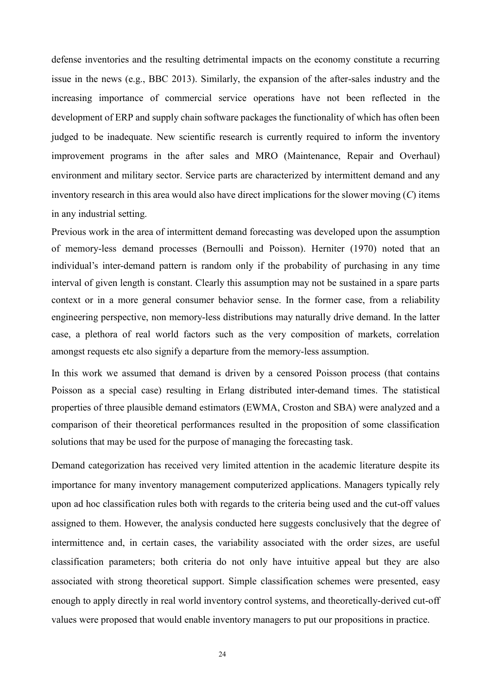defense inventories and the resulting detrimental impacts on the economy constitute a recurring issue in the news (e.g., BBC 2013). Similarly, the expansion of the after-sales industry and the increasing importance of commercial service operations have not been reflected in the development of ERP and supply chain software packages the functionality of which has often been judged to be inadequate. New scientific research is currently required to inform the inventory improvement programs in the after sales and MRO (Maintenance, Repair and Overhaul) environment and military sector. Service parts are characterized by intermittent demand and any inventory research in this area would also have direct implications for the slower moving (*C*) items in any industrial setting.

Previous work in the area of intermittent demand forecasting was developed upon the assumption of memory-less demand processes (Bernoulli and Poisson). Herniter (1970) noted that an individual's inter-demand pattern is random only if the probability of purchasing in any time interval of given length is constant. Clearly this assumption may not be sustained in a spare parts context or in a more general consumer behavior sense. In the former case, from a reliability engineering perspective, non memory-less distributions may naturally drive demand. In the latter case, a plethora of real world factors such as the very composition of markets, correlation amongst requests etc also signify a departure from the memory-less assumption.

In this work we assumed that demand is driven by a censored Poisson process (that contains Poisson as a special case) resulting in Erlang distributed inter-demand times. The statistical properties of three plausible demand estimators (EWMA, Croston and SBA) were analyzed and a comparison of their theoretical performances resulted in the proposition of some classification solutions that may be used for the purpose of managing the forecasting task.

Demand categorization has received very limited attention in the academic literature despite its importance for many inventory management computerized applications. Managers typically rely upon ad hoc classification rules both with regards to the criteria being used and the cut-off values assigned to them. However, the analysis conducted here suggests conclusively that the degree of intermittence and, in certain cases, the variability associated with the order sizes, are useful classification parameters; both criteria do not only have intuitive appeal but they are also associated with strong theoretical support. Simple classification schemes were presented, easy enough to apply directly in real world inventory control systems, and theoretically-derived cut-off values were proposed that would enable inventory managers to put our propositions in practice.

24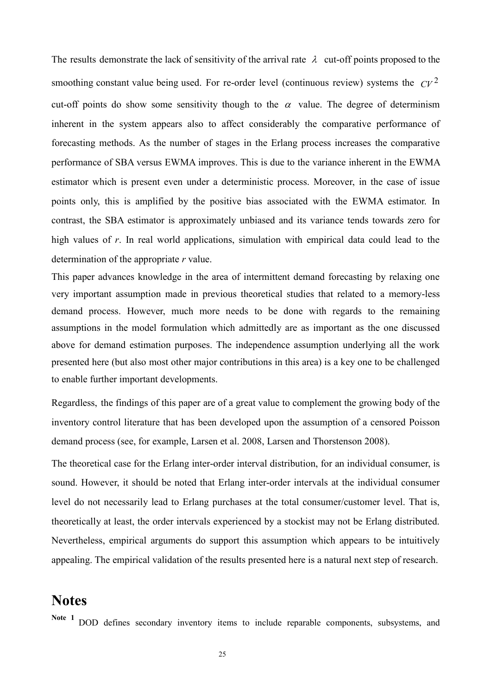The results demonstrate the lack of sensitivity of the arrival rate  $\lambda$  cut-off points proposed to the smoothing constant value being used. For re-order level (continuous review) systems the  $CV^2$ cut-off points do show some sensitivity though to the  $\alpha$  value. The degree of determinism inherent in the system appears also to affect considerably the comparative performance of forecasting methods. As the number of stages in the Erlang process increases the comparative performance of SBA versus EWMA improves. This is due to the variance inherent in the EWMA estimator which is present even under a deterministic process. Moreover, in the case of issue points only, this is amplified by the positive bias associated with the EWMA estimator. In contrast, the SBA estimator is approximately unbiased and its variance tends towards zero for high values of *r*. In real world applications, simulation with empirical data could lead to the determination of the appropriate *r* value.

This paper advances knowledge in the area of intermittent demand forecasting by relaxing one very important assumption made in previous theoretical studies that related to a memory-less demand process. However, much more needs to be done with regards to the remaining assumptions in the model formulation which admittedly are as important as the one discussed above for demand estimation purposes. The independence assumption underlying all the work presented here (but also most other major contributions in this area) is a key one to be challenged to enable further important developments.

Regardless, the findings of this paper are of a great value to complement the growing body of the inventory control literature that has been developed upon the assumption of a censored Poisson demand process (see, for example, Larsen et al. 2008, Larsen and Thorstenson 2008).

The theoretical case for the Erlang inter-order interval distribution, for an individual consumer, is sound. However, it should be noted that Erlang inter-order intervals at the individual consumer level do not necessarily lead to Erlang purchases at the total consumer/customer level. That is, theoretically at least, the order intervals experienced by a stockist may not be Erlang distributed. Nevertheless, empirical arguments do support this assumption which appears to be intuitively appealing. The empirical validation of the results presented here is a natural next step of research.

## **Notes**

Note 1 DOD defines secondary inventory items to include reparable components, subsystems, and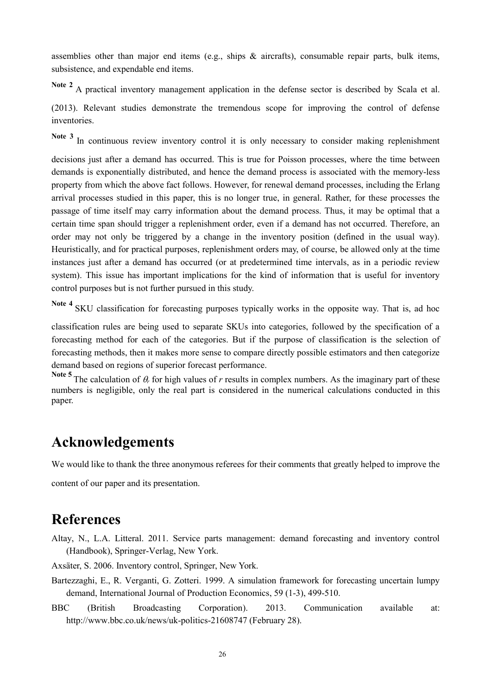assemblies other than major end items (e.g., ships & aircrafts), consumable repair parts, bulk items, subsistence, and expendable end items.

Note 2 A practical inventory management application in the defense sector is described by Scala et al. (2013). Relevant studies demonstrate the tremendous scope for improving the control of defense inventories.

Note <sup>3</sup> In continuous review inventory control it is only necessary to consider making replenishment decisions just after a demand has occurred. This is true for Poisson processes, where the time between demands is exponentially distributed, and hence the demand process is associated with the memory-less property from which the above fact follows. However, for renewal demand processes, including the Erlang arrival processes studied in this paper, this is no longer true, in general. Rather, for these processes the passage of time itself may carry information about the demand process. Thus, it may be optimal that a certain time span should trigger a replenishment order, even if a demand has not occurred. Therefore, an order may not only be triggered by a change in the inventory position (defined in the usual way). Heuristically, and for practical purposes, replenishment orders may, of course, be allowed only at the time instances just after a demand has occurred (or at predetermined time intervals, as in a periodic review system). This issue has important implications for the kind of information that is useful for inventory control purposes but is not further pursued in this study.

**Note 4** SKU classification for forecasting purposes typically works in the opposite way. That is, ad hoc

classification rules are being used to separate SKUs into categories, followed by the specification of a forecasting method for each of the categories. But if the purpose of classification is the selection of forecasting methods, then it makes more sense to compare directly possible estimators and then categorize demand based on regions of superior forecast performance.

Note 5 The calculation of  $\theta_r$  for high values of *r* results in complex numbers. As the imaginary part of these numbers is negligible, only the real part is considered in the numerical calculations conducted in this paper.

## **Acknowledgements**

We would like to thank the three anonymous referees for their comments that greatly helped to improve the

content of our paper and its presentation.

## **References**

Altay, N., L.A. Litteral. 2011. Service parts management: demand forecasting and inventory control (Handbook), Springer-Verlag, New York.

Axsäter, S. 2006. Inventory control, Springer, New York.

- Bartezzaghi, E., R. Verganti, G. Zotteri. 1999. A simulation framework for forecasting uncertain lumpy demand, International Journal of Production Economics, 59 (1-3), 499-510.
- BBC (British Broadcasting Corporation). 2013. Communication available at: <http://www.bbc.co.uk/news/uk-politics-21608747>(February 28).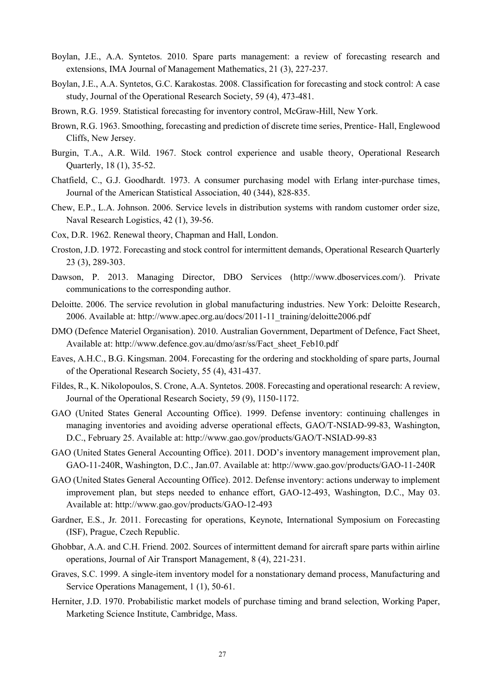- Boylan, J.E., A.A. Syntetos. 2010. Spare parts management: a review of forecasting research and extensions, IMA Journal of Management Mathematics, 21 (3), 227-237.
- Boylan, J.E., A.A. Syntetos, G.C. Karakostas. 2008. Classification for forecasting and stock control: A case study, Journal of the Operational Research Society, 59 (4), 473-481.
- Brown, R.G. 1959. Statistical forecasting for inventory control, McGraw-Hill, New York.
- Brown, R.G. 1963. Smoothing, forecasting and prediction of discrete time series, Prentice- Hall, Englewood Cliffs, New Jersey.
- Burgin, T.A., A.R. Wild. 1967. Stock control experience and usable theory, Operational Research Quarterly, 18 (1), 35-52.
- Chatfield, C., G.J. Goodhardt. 1973. A consumer purchasing model with Erlang inter-purchase times, Journal of the American Statistical Association, 40 (344), 828-835.
- Chew, E.P., L.A. Johnson. 2006. Service levels in distribution systems with random customer order size, Naval Research Logistics, 42 (1), 39-56.
- Cox, D.R. 1962. Renewal theory, Chapman and Hall, London.
- Croston, J.D. 1972. Forecasting and stock control for intermittent demands, Operational Research Quarterly 23 (3), 289-303.
- Dawson, P. 2013. Managing Director, DBO Services [\(http://www.dboservices.com/\)](http://www.dboservices.com/). Private communications to the corresponding author.
- Deloitte. 2006. The service revolution in global manufacturing industries. New York: Deloitte Research, 2006. Available at: [http://www.apec.org.au/docs/2011-11\\_training/deloitte2006.pdf](http://www.apec.org.au/docs/2011-11_training/deloitte2006.pdf)
- DMO (Defence Materiel Organisation). 2010. Australian Government, Department of Defence, Fact Sheet, Available at: [http://www.defence.gov.au/dmo/asr/ss/Fact\\_sheet\\_Feb10.pdf](http://www.defence.gov.au/dmo/asr/ss/Fact_sheet_Feb10.pdf)
- Eaves, A.H.C., B.G. Kingsman. 2004. Forecasting for the ordering and stockholding of spare parts, Journal of the Operational Research Society, 55 (4), 431-437.
- Fildes, R., K. Nikolopoulos, S. Crone, A.A. Syntetos. 2008. Forecasting and operational research: A review, Journal of the Operational Research Society, 59 (9), 1150-1172.
- GAO (United States General Accounting Office). 1999. Defense inventory: continuing challenges in managing inventories and avoiding adverse operational effects, GAO/T-NSIAD-99-83, Washington, D.C., February 25. Available at[: http://www.gao.gov/products/GAO/T-NSIAD-99-83](http://www.gao.gov/products/GAO/T-NSIAD-99-83)
- GAO (United States General Accounting Office). 2011. DOD's inventory management improvement plan, GAO-11-240R, Washington, D.C., Jan.07. Available at:<http://www.gao.gov/products/GAO-11-240R>
- GAO (United States General Accounting Office). 2012. Defense inventory: actions underway to implement improvement plan, but steps needed to enhance effort, GAO-12-493, Washington, D.C., May 03. Available at:<http://www.gao.gov/products/GAO-12-493>
- Gardner, E.S., Jr. 2011. Forecasting for operations, Keynote, International Symposium on Forecasting (ISF), Prague, Czech Republic.
- Ghobbar, A.A. and C.H. Friend. 2002. Sources of intermittent demand for aircraft spare parts within airline operations, Journal of Air Transport Management, 8 (4), 221-231.
- Graves, S.C. 1999. A single-item inventory model for a nonstationary demand process, Manufacturing and Service Operations Management, 1 (1), 50-61.
- Herniter, J.D. 1970. Probabilistic market models of purchase timing and brand selection, Working Paper, Marketing Science Institute, Cambridge, Mass.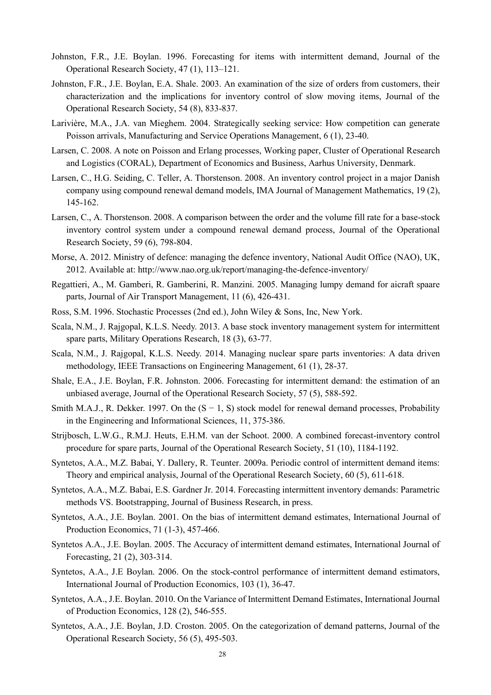- Johnston, F.R., J.E. Boylan. 1996. Forecasting for items with intermittent demand, Journal of the Operational Research Society, 47 (1), 113–121.
- Johnston, F.R., J.E. Boylan, E.A. Shale. 2003. An examination of the size of orders from customers, their characterization and the implications for inventory control of slow moving items, Journal of the Operational Research Society, 54 (8), 833-837.
- Larivière, M.A., J.A. van Mieghem. 2004. Strategically seeking service: How competition can generate Poisson arrivals, Manufacturing and Service Operations Management, 6 (1), 23-40.
- Larsen, C. 2008. A note on Poisson and Erlang processes, Working paper, Cluster of Operational Research and Logistics (CORAL), Department of Economics and Business, Aarhus University, Denmark.
- Larsen, C., H.G. Seiding, C. Teller, A. Thorstenson. 2008. An inventory control project in a major Danish company using compound renewal demand models, IMA Journal of Management Mathematics, 19 (2), 145-162.
- Larsen, C., A. Thorstenson. 2008. A comparison between the order and the volume fill rate for a base-stock inventory control system under a compound renewal demand process, Journal of the Operational Research Society, 59 (6), 798-804.
- Morse, A. 2012. Ministry of defence: managing the defence inventory, National Audit Office (NAO), UK, 2012. Available at:<http://www.nao.org.uk/report/managing-the-defence-inventory/>
- Regattieri, A., M. Gamberi, R. Gamberini, R. Manzini. 2005. Managing lumpy demand for aicraft spaare parts, Journal of Air Transport Management, 11 (6), 426-431.
- Ross, S.M. 1996. Stochastic Processes (2nd ed.), John Wiley & Sons, Inc, New York.
- Scala, N.M., J. Rajgopal, K.L.S. Needy. 2013. A base stock inventory management system for intermittent spare parts, Military Operations Research, 18 (3), 63-77.
- Scala, N.M., J. Rajgopal, K.L.S. Needy. 2014. Managing nuclear spare parts inventories: A data driven methodology, IEEE Transactions on Engineering Management, 61 (1), 28-37.
- Shale, E.A., J.E. Boylan, F.R. Johnston. 2006. Forecasting for intermittent demand: the estimation of an unbiased average, Journal of the Operational Research Society, 57 (5), 588-592.
- Smith M.A.J., R. Dekker. 1997. On the  $(S 1, S)$  stock model for renewal demand processes, Probability in the Engineering and Informational Sciences, 11, 375-386.
- Strijbosch, L.W.G., R.M.J. Heuts, E.H.M. van der Schoot. 2000. A combined forecast-inventory control procedure for spare parts, Journal of the Operational Research Society, 51 (10), 1184-1192.
- Syntetos, A.A., M.Z. Babai, Y. Dallery, R. Teunter. 2009a. Periodic control of intermittent demand items: Theory and empirical analysis, Journal of the Operational Research Society, 60 (5), 611-618.
- Syntetos, A.A., M.Z. Babai, E.S. Gardner Jr. 2014. Forecasting intermittent inventory demands: Parametric methods VS. Bootstrapping, Journal of Business Research, in press.
- Syntetos, A.A., J.E. Boylan. 2001. On the bias of intermittent demand estimates, International Journal of Production Economics, 71 (1-3), 457-466.
- Syntetos A.A., J.E. Boylan. 2005. The Accuracy of intermittent demand estimates, International Journal of Forecasting, 21 (2), 303-314.
- Syntetos, A.A., J.E Boylan. 2006. On the stock-control performance of intermittent demand estimators, International Journal of Production Economics, 103 (1), 36-47.
- Syntetos, A.A., J.E. Boylan. 2010. On the Variance of Intermittent Demand Estimates, International Journal of Production Economics, 128 (2), 546-555.
- Syntetos, A.A., J.E. Boylan, J.D. Croston. 2005. On the categorization of demand patterns, Journal of the Operational Research Society, 56 (5), 495-503.